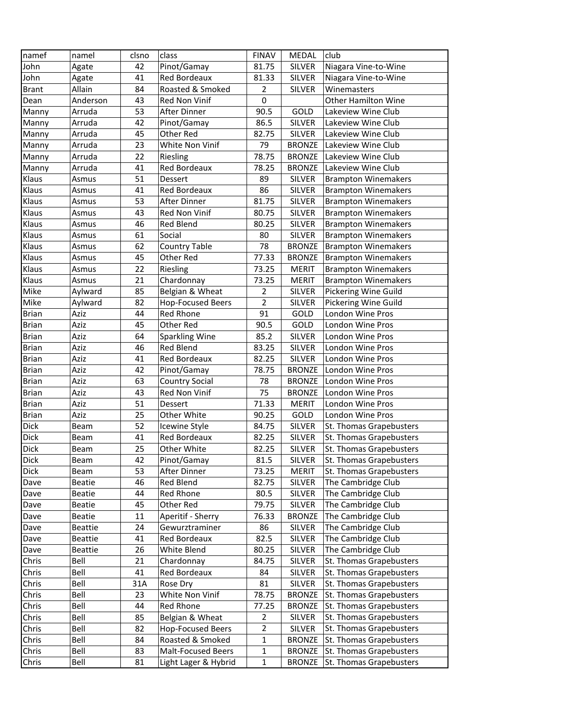| namef        | namel          | clsno | class                    | <b>FINAV</b>   | MEDAL         | club                       |
|--------------|----------------|-------|--------------------------|----------------|---------------|----------------------------|
| John         | Agate          | 42    | Pinot/Gamay              | 81.75          | <b>SILVER</b> | Niagara Vine-to-Wine       |
| John         | Agate          | 41    | Red Bordeaux             | 81.33          | <b>SILVER</b> | Niagara Vine-to-Wine       |
| <b>Brant</b> | Allain         | 84    | Roasted & Smoked         | $\overline{2}$ | <b>SILVER</b> | Winemasters                |
| Dean         | Anderson       | 43    | Red Non Vinif            | $\pmb{0}$      |               | <b>Other Hamilton Wine</b> |
| Manny        | Arruda         | 53    | After Dinner             | 90.5           | GOLD          | Lakeview Wine Club         |
| Manny        | Arruda         | 42    | Pinot/Gamay              | 86.5           | <b>SILVER</b> | Lakeview Wine Club         |
| Manny        | Arruda         | 45    | Other Red                | 82.75          | SILVER        | Lakeview Wine Club         |
| Manny        | Arruda         | 23    | White Non Vinif          | 79             | <b>BRONZE</b> | Lakeview Wine Club         |
| Manny        | Arruda         | 22    | Riesling                 | 78.75          | <b>BRONZE</b> | Lakeview Wine Club         |
| Manny        | Arruda         | 41    | Red Bordeaux             | 78.25          | <b>BRONZE</b> | Lakeview Wine Club         |
| Klaus        | Asmus          | 51    | Dessert                  | 89             | <b>SILVER</b> | <b>Brampton Winemakers</b> |
| Klaus        | Asmus          | 41    | Red Bordeaux             | 86             | <b>SILVER</b> | <b>Brampton Winemakers</b> |
| Klaus        | Asmus          | 53    | After Dinner             | 81.75          | <b>SILVER</b> | <b>Brampton Winemakers</b> |
| Klaus        | Asmus          | 43    | Red Non Vinif            | 80.75          | <b>SILVER</b> | <b>Brampton Winemakers</b> |
| Klaus        | Asmus          | 46    | <b>Red Blend</b>         | 80.25          | SILVER        | <b>Brampton Winemakers</b> |
| Klaus        | Asmus          | 61    | Social                   | 80             | SILVER        | <b>Brampton Winemakers</b> |
| Klaus        | Asmus          | 62    | <b>Country Table</b>     | 78             | <b>BRONZE</b> | <b>Brampton Winemakers</b> |
| Klaus        | Asmus          | 45    | Other Red                | 77.33          | <b>BRONZE</b> | <b>Brampton Winemakers</b> |
| Klaus        | Asmus          | 22    | Riesling                 | 73.25          | <b>MERIT</b>  | <b>Brampton Winemakers</b> |
| Klaus        | Asmus          | 21    | Chardonnay               | 73.25          | <b>MERIT</b>  | <b>Brampton Winemakers</b> |
| Mike         | Aylward        | 85    | Belgian & Wheat          | $\mathbf 2$    | <b>SILVER</b> | Pickering Wine Guild       |
| Mike         | Aylward        | 82    | <b>Hop-Focused Beers</b> | $\overline{2}$ | <b>SILVER</b> | Pickering Wine Guild       |
| <b>Brian</b> | Aziz           | 44    | Red Rhone                | 91             | GOLD          | London Wine Pros           |
| <b>Brian</b> | Aziz           | 45    | Other Red                | 90.5           | GOLD          | London Wine Pros           |
| <b>Brian</b> | Aziz           | 64    | <b>Sparkling Wine</b>    | 85.2           | SILVER        | London Wine Pros           |
| <b>Brian</b> | Aziz           | 46    | <b>Red Blend</b>         | 83.25          | SILVER        | London Wine Pros           |
| <b>Brian</b> | Aziz           | 41    | Red Bordeaux             | 82.25          | SILVER        | London Wine Pros           |
| <b>Brian</b> | Aziz           | 42    | Pinot/Gamay              | 78.75          | <b>BRONZE</b> | London Wine Pros           |
| <b>Brian</b> | Aziz           | 63    | <b>Country Social</b>    | 78             | <b>BRONZE</b> | London Wine Pros           |
| <b>Brian</b> | Aziz           | 43    | Red Non Vinif            | 75             | <b>BRONZE</b> | London Wine Pros           |
| <b>Brian</b> | Aziz           | 51    | Dessert                  | 71.33          | <b>MERIT</b>  | London Wine Pros           |
| <b>Brian</b> | Aziz           | 25    | Other White              | 90.25          | GOLD          | London Wine Pros           |
| <b>Dick</b>  | Beam           | 52    | Icewine Style            | 84.75          | <b>SILVER</b> | St. Thomas Grapebusters    |
| <b>Dick</b>  | Beam           | 41    | Red Bordeaux             | 82.25          | <b>SILVER</b> | St. Thomas Grapebusters    |
| <b>Dick</b>  | Beam           | 25    | Other White              | 82.25          | <b>SILVER</b> | St. Thomas Grapebusters    |
| <b>Dick</b>  | Beam           | 42    | Pinot/Gamay              | 81.5           | SILVER        | St. Thomas Grapebusters    |
| Dick         | Beam           | 53    | After Dinner             | 73.25          | <b>MERIT</b>  | St. Thomas Grapebusters    |
| Dave         | <b>Beatie</b>  | 46    | Red Blend                | 82.75          | SILVER        | The Cambridge Club         |
| Dave         | <b>Beatie</b>  | 44    | Red Rhone                | 80.5           | SILVER        | The Cambridge Club         |
| Dave         | Beatie         | 45    | Other Red                | 79.75          | SILVER        | The Cambridge Club         |
| Dave         | <b>Beatie</b>  | 11    | Aperitif - Sherry        | 76.33          | <b>BRONZE</b> | The Cambridge Club         |
| Dave         | <b>Beattie</b> | 24    | Gewurztraminer           | 86             | <b>SILVER</b> | The Cambridge Club         |
| Dave         | <b>Beattie</b> | 41    | Red Bordeaux             | 82.5           | SILVER        | The Cambridge Club         |
| Dave         | Beattie        | 26    | White Blend              | 80.25          | SILVER        | The Cambridge Club         |
| Chris        | Bell           | 21    | Chardonnay               | 84.75          | <b>SILVER</b> | St. Thomas Grapebusters    |
| Chris        | Bell           | 41    | <b>Red Bordeaux</b>      | 84             | SILVER        | St. Thomas Grapebusters    |
| Chris        | Bell           | 31A   | Rose Dry                 | 81             | SILVER        | St. Thomas Grapebusters    |
| Chris        | Bell           | 23    | White Non Vinif          | 78.75          | <b>BRONZE</b> | St. Thomas Grapebusters    |
| Chris        | Bell           | 44    | Red Rhone                | 77.25          | <b>BRONZE</b> | St. Thomas Grapebusters    |
| Chris        | Bell           | 85    | Belgian & Wheat          | 2              | SILVER        | St. Thomas Grapebusters    |
| Chris        | Bell           | 82    | <b>Hop-Focused Beers</b> | 2              | SILVER        | St. Thomas Grapebusters    |
| Chris        | Bell           | 84    | Roasted & Smoked         | 1              | <b>BRONZE</b> | St. Thomas Grapebusters    |
| Chris        | Bell           | 83    | Malt-Focused Beers       | $\mathbf{1}$   | <b>BRONZE</b> | St. Thomas Grapebusters    |
| Chris        | Bell           | 81    | Light Lager & Hybrid     | $\mathbf{1}$   | <b>BRONZE</b> | St. Thomas Grapebusters    |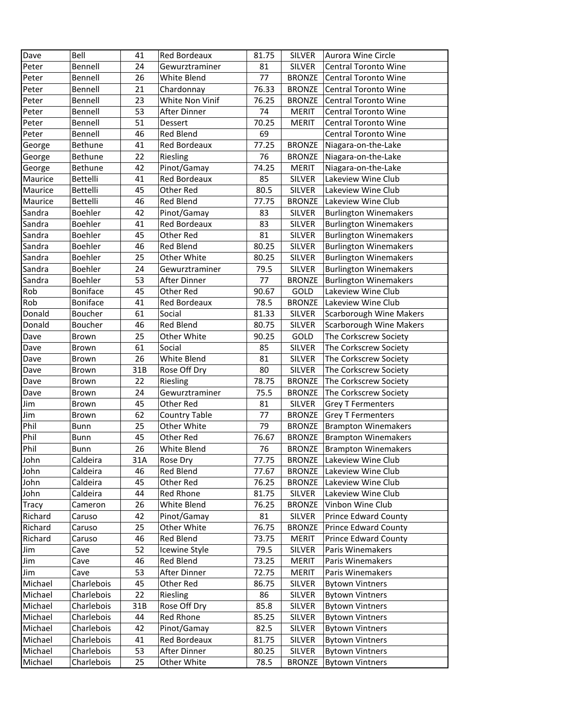| Dave         | Bell            | 41  | <b>Red Bordeaux</b>  | 81.75 | <b>SILVER</b>           | Aurora Wine Circle                               |
|--------------|-----------------|-----|----------------------|-------|-------------------------|--------------------------------------------------|
| Peter        | Bennell         | 24  | Gewurztraminer       | 81    | <b>SILVER</b>           | <b>Central Toronto Wine</b>                      |
| Peter        | Bennell         | 26  | White Blend          | 77    | <b>BRONZE</b>           | <b>Central Toronto Wine</b>                      |
| Peter        | Bennell         | 21  | Chardonnay           | 76.33 | <b>BRONZE</b>           | <b>Central Toronto Wine</b>                      |
| Peter        | Bennell         | 23  | White Non Vinif      | 76.25 | <b>BRONZE</b>           | <b>Central Toronto Wine</b>                      |
| Peter        | Bennell         | 53  | After Dinner         | 74    | <b>MERIT</b>            | <b>Central Toronto Wine</b>                      |
| Peter        | Bennell         | 51  | Dessert              | 70.25 | <b>MERIT</b>            | Central Toronto Wine                             |
| Peter        | Bennell         | 46  | Red Blend            | 69    |                         | <b>Central Toronto Wine</b>                      |
| George       | Bethune         | 41  | Red Bordeaux         | 77.25 | <b>BRONZE</b>           | Niagara-on-the-Lake                              |
| George       | Bethune         | 22  | Riesling             | 76    | <b>BRONZE</b>           | Niagara-on-the-Lake                              |
| George       | Bethune         | 42  | Pinot/Gamay          | 74.25 | <b>MERIT</b>            | Niagara-on-the-Lake                              |
| Maurice      | Bettelli        | 41  | Red Bordeaux         | 85    | <b>SILVER</b>           | Lakeview Wine Club                               |
| Maurice      | Bettelli        | 45  | Other Red            | 80.5  | <b>SILVER</b>           | Lakeview Wine Club                               |
| Maurice      | Bettelli        | 46  | Red Blend            | 77.75 | <b>BRONZE</b>           | Lakeview Wine Club                               |
| Sandra       | Boehler         | 42  | Pinot/Gamay          | 83    | SILVER                  | <b>Burlington Winemakers</b>                     |
| Sandra       | Boehler         | 41  | Red Bordeaux         | 83    | SILVER                  | <b>Burlington Winemakers</b>                     |
| Sandra       | Boehler         | 45  | Other Red            | 81    | <b>SILVER</b>           | <b>Burlington Winemakers</b>                     |
| Sandra       | Boehler         | 46  | Red Blend            | 80.25 | SILVER                  | <b>Burlington Winemakers</b>                     |
| Sandra       | Boehler         | 25  | Other White          | 80.25 | <b>SILVER</b>           | <b>Burlington Winemakers</b>                     |
| Sandra       | Boehler         | 24  | Gewurztraminer       | 79.5  | SILVER                  | <b>Burlington Winemakers</b>                     |
| Sandra       | Boehler         | 53  | After Dinner         | 77    | <b>BRONZE</b>           | <b>Burlington Winemakers</b>                     |
| Rob          | <b>Boniface</b> | 45  | Other Red            | 90.67 | GOLD                    | Lakeview Wine Club                               |
| Rob          | <b>Boniface</b> | 41  | Red Bordeaux         | 78.5  | <b>BRONZE</b>           | Lakeview Wine Club                               |
| Donald       | Boucher         | 61  | Social               | 81.33 | <b>SILVER</b>           | <b>Scarborough Wine Makers</b>                   |
| Donald       | Boucher         | 46  | Red Blend            |       |                         |                                                  |
|              |                 | 25  |                      | 80.75 | <b>SILVER</b>           | Scarborough Wine Makers                          |
| Dave         | Brown           |     | Other White          | 90.25 | GOLD                    | The Corkscrew Society                            |
| Dave         | Brown           | 61  | Social               | 85    | <b>SILVER</b>           | The Corkscrew Society                            |
| Dave         | Brown           | 26  | White Blend          | 81    | <b>SILVER</b>           | The Corkscrew Society                            |
| Dave         | Brown           | 31B | Rose Off Dry         | 80    | <b>SILVER</b>           | The Corkscrew Society                            |
| Dave         | Brown           | 22  | Riesling             | 78.75 | <b>BRONZE</b>           | The Corkscrew Society                            |
| Dave         | Brown           | 24  | Gewurztraminer       | 75.5  | <b>BRONZE</b>           | The Corkscrew Society                            |
| Jim          | Brown           | 45  | Other Red            | 81    | SILVER                  | <b>Grey T Fermenters</b>                         |
| Jim          | Brown           | 62  | <b>Country Table</b> | 77    | <b>BRONZE</b>           | <b>Grey T Fermenters</b>                         |
| Phil         | <b>Bunn</b>     | 25  | Other White          | 79    | <b>BRONZE</b>           | <b>Brampton Winemakers</b>                       |
| Phil         | Bunn            | 45  | Other Red            | 76.67 | <b>BRONZE</b>           | <b>Brampton Winemakers</b>                       |
| Phil         | Bunn            | 26  | White Blend          | 76    | <b>BRONZE</b>           | <b>Brampton Winemakers</b>                       |
| John         | Caldeira        | 31A | Rose Dry             | 77.75 |                         | <b>BRONZE</b> Lakeview Wine Club                 |
| John         | Caldeira        | 46  | Red Blend            | 77.67 |                         | <b>BRONZE</b> Lakeview Wine Club                 |
| John         | Caldeira        | 45  | Other Red            | 76.25 | <b>BRONZE</b>           | Lakeview Wine Club                               |
| John         | Caldeira        | 44  | Red Rhone            | 81.75 | SILVER                  | Lakeview Wine Club                               |
| <b>Tracy</b> | Cameron         | 26  | White Blend          | 76.25 | <b>BRONZE</b>           | Vinbon Wine Club                                 |
| Richard      | Caruso          | 42  | Pinot/Gamay          | 81    | SILVER                  | <b>Prince Edward County</b>                      |
| Richard      | Caruso          | 25  | Other White          | 76.75 | <b>BRONZE</b>           | <b>Prince Edward County</b>                      |
| Richard      | Caruso          | 46  | Red Blend            | 73.75 | <b>MERIT</b>            | Prince Edward County                             |
| Jim          | Cave            | 52  | Icewine Style        | 79.5  | <b>SILVER</b>           | Paris Winemakers                                 |
| Jim          | Cave            | 46  | Red Blend            | 73.25 | <b>MERIT</b>            | Paris Winemakers                                 |
| Jim          | Cave            | 53  | After Dinner         | 72.75 | <b>MERIT</b>            | Paris Winemakers                                 |
| Michael      | Charlebois      | 45  | Other Red            | 86.75 | <b>SILVER</b>           | <b>Bytown Vintners</b>                           |
| Michael      | Charlebois      | 22  | Riesling             | 86    | <b>SILVER</b>           | <b>Bytown Vintners</b>                           |
| Michael      | Charlebois      | 31B | Rose Off Dry         | 85.8  | SILVER                  | <b>Bytown Vintners</b>                           |
| Michael      | Charlebois      | 44  | Red Rhone            | 85.25 | <b>SILVER</b>           | <b>Bytown Vintners</b>                           |
|              | Charlebois      | 42  | Pinot/Gamay          | 82.5  | SILVER                  | <b>Bytown Vintners</b>                           |
| Michael      |                 |     |                      |       |                         |                                                  |
| Michael      | Charlebois      | 41  | Red Bordeaux         | 81.75 |                         |                                                  |
| Michael      | Charlebois      | 53  | After Dinner         | 80.25 | SILVER<br><b>SILVER</b> | <b>Bytown Vintners</b><br><b>Bytown Vintners</b> |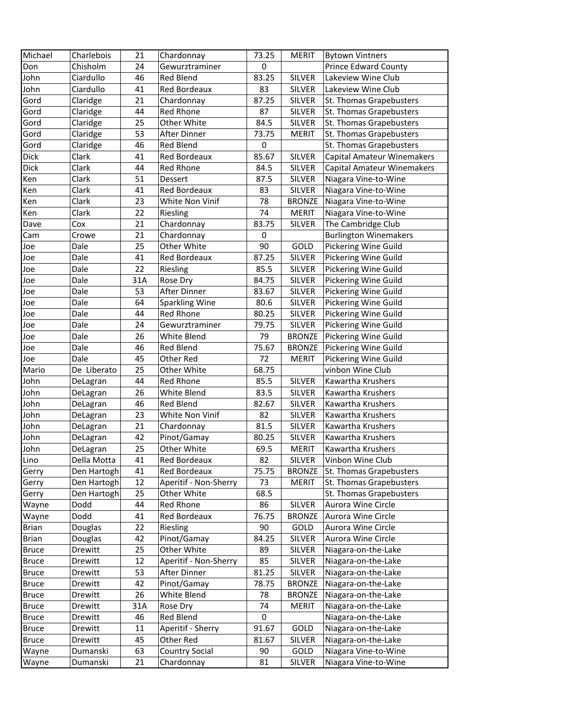| Michael      | Charlebois  | 21  | Chardonnay            | 73.25            | <b>MERIT</b>  | <b>Bytown Vintners</b>            |
|--------------|-------------|-----|-----------------------|------------------|---------------|-----------------------------------|
| Don          | Chisholm    | 24  | Gewurztraminer        | $\boldsymbol{0}$ |               | <b>Prince Edward County</b>       |
| John         | Ciardullo   | 46  | Red Blend             | 83.25            | <b>SILVER</b> | Lakeview Wine Club                |
| John         | Ciardullo   | 41  | Red Bordeaux          | 83               | <b>SILVER</b> | Lakeview Wine Club                |
| Gord         | Claridge    | 21  | Chardonnay            | 87.25            | <b>SILVER</b> | St. Thomas Grapebusters           |
| Gord         | Claridge    | 44  | Red Rhone             | 87               | <b>SILVER</b> | St. Thomas Grapebusters           |
| Gord         | Claridge    | 25  | Other White           | 84.5             | <b>SILVER</b> | St. Thomas Grapebusters           |
| Gord         | Claridge    | 53  | After Dinner          | 73.75            | <b>MERIT</b>  | St. Thomas Grapebusters           |
| Gord         | Claridge    | 46  | <b>Red Blend</b>      | $\pmb{0}$        |               | St. Thomas Grapebusters           |
| Dick         | Clark       | 41  | Red Bordeaux          | 85.67            | <b>SILVER</b> | Capital Amateur Winemakers        |
| Dick         | Clark       | 44  | Red Rhone             | 84.5             | <b>SILVER</b> | <b>Capital Amateur Winemakers</b> |
| Ken          | Clark       | 51  | Dessert               | 87.5             | <b>SILVER</b> | Niagara Vine-to-Wine              |
| Ken          | Clark       | 41  | Red Bordeaux          | 83               | <b>SILVER</b> | Niagara Vine-to-Wine              |
| Ken          | Clark       | 23  | White Non Vinif       | 78               | <b>BRONZE</b> | Niagara Vine-to-Wine              |
| Ken          | Clark       | 22  | Riesling              | 74               | <b>MERIT</b>  | Niagara Vine-to-Wine              |
| Dave         | Cox         | 21  | Chardonnay            | 83.75            | <b>SILVER</b> | The Cambridge Club                |
| Cam          | Crowe       | 21  | Chardonnay            | $\mathbf 0$      |               | <b>Burlington Winemakers</b>      |
| Joe          | Dale        | 25  | Other White           | 90               | GOLD          | Pickering Wine Guild              |
| Joe          | Dale        | 41  | Red Bordeaux          | 87.25            | <b>SILVER</b> | Pickering Wine Guild              |
| Joe          | Dale        | 22  | Riesling              | 85.5             | <b>SILVER</b> | Pickering Wine Guild              |
| Joe          | Dale        | 31A | Rose Dry              | 84.75            | <b>SILVER</b> | Pickering Wine Guild              |
| Joe          | Dale        | 53  | After Dinner          | 83.67            | <b>SILVER</b> | Pickering Wine Guild              |
| Joe          | Dale        | 64  | <b>Sparkling Wine</b> | 80.6             | <b>SILVER</b> | Pickering Wine Guild              |
| Joe          | Dale        | 44  | Red Rhone             | 80.25            | <b>SILVER</b> | Pickering Wine Guild              |
| Joe          | Dale        | 24  | Gewurztraminer        | 79.75            | <b>SILVER</b> | Pickering Wine Guild              |
| Joe          | Dale        | 26  | White Blend           | 79               | <b>BRONZE</b> | Pickering Wine Guild              |
| Joe          | Dale        | 46  | Red Blend             | 75.67            | <b>BRONZE</b> | Pickering Wine Guild              |
| Joe          | Dale        | 45  | Other Red             | 72               | <b>MERIT</b>  | Pickering Wine Guild              |
| Mario        | De Liberato | 25  | Other White           | 68.75            |               | vinbon Wine Club                  |
| John         | DeLagran    | 44  | Red Rhone             | 85.5             | <b>SILVER</b> | Kawartha Krushers                 |
| John         | DeLagran    | 26  | White Blend           | 83.5             | <b>SILVER</b> | Kawartha Krushers                 |
| John         | DeLagran    | 46  | Red Blend             | 82.67            | <b>SILVER</b> | Kawartha Krushers                 |
| John         | DeLagran    | 23  | White Non Vinif       | 82               | SILVER        | Kawartha Krushers                 |
| John         | DeLagran    | 21  | Chardonnay            | 81.5             | <b>SILVER</b> | Kawartha Krushers                 |
| John         | DeLagran    | 42  | Pinot/Gamay           | 80.25            | <b>SILVER</b> | Kawartha Krushers                 |
| John         | DeLagran    | 25  | Other White           | 69.5             | <b>MERIT</b>  | Kawartha Krushers                 |
| Lino         | Della Motta | 41  | Red Bordeaux          | 82               | <b>SILVER</b> | Vinbon Wine Club                  |
| Gerry        | Den Hartogh | 41  | Red Bordeaux          | 75.75            | <b>BRONZE</b> | St. Thomas Grapebusters           |
| Gerry        | Den Hartogh | 12  | Aperitif - Non-Sherry | 73               | <b>MERIT</b>  | St. Thomas Grapebusters           |
| Gerry        | Den Hartogh | 25  | Other White           | 68.5             |               | St. Thomas Grapebusters           |
| Wayne        | Dodd        | 44  | Red Rhone             | 86               | <b>SILVER</b> | Aurora Wine Circle                |
| Wayne        | Dodd        | 41  | Red Bordeaux          | 76.75            | <b>BRONZE</b> | Aurora Wine Circle                |
| <b>Brian</b> | Douglas     | 22  | Riesling              | 90               | GOLD          | Aurora Wine Circle                |
| Brian        | Douglas     | 42  | Pinot/Gamay           | 84.25            | <b>SILVER</b> | Aurora Wine Circle                |
| <b>Bruce</b> | Drewitt     | 25  | Other White           | 89               | SILVER        | Niagara-on-the-Lake               |
| <b>Bruce</b> | Drewitt     | 12  | Aperitif - Non-Sherry | 85               | SILVER        | Niagara-on-the-Lake               |
| <b>Bruce</b> | Drewitt     | 53  | After Dinner          | 81.25            | SILVER        | Niagara-on-the-Lake               |
| <b>Bruce</b> | Drewitt     | 42  | Pinot/Gamay           | 78.75            | <b>BRONZE</b> | Niagara-on-the-Lake               |
| <b>Bruce</b> | Drewitt     | 26  | White Blend           | 78               | <b>BRONZE</b> | Niagara-on-the-Lake               |
| <b>Bruce</b> | Drewitt     | 31A | Rose Dry              | 74               | <b>MERIT</b>  | Niagara-on-the-Lake               |
| <b>Bruce</b> | Drewitt     | 46  | Red Blend             | 0                |               | Niagara-on-the-Lake               |
| <b>Bruce</b> | Drewitt     | 11  | Aperitif - Sherry     | 91.67            | GOLD          | Niagara-on-the-Lake               |
| <b>Bruce</b> | Drewitt     | 45  | Other Red             | 81.67            | <b>SILVER</b> | Niagara-on-the-Lake               |
| Wayne        | Dumanski    | 63  | <b>Country Social</b> | 90               | GOLD          | Niagara Vine-to-Wine              |
| Wayne        | Dumanski    | 21  | Chardonnay            | 81               | <b>SILVER</b> | Niagara Vine-to-Wine              |
|              |             |     |                       |                  |               |                                   |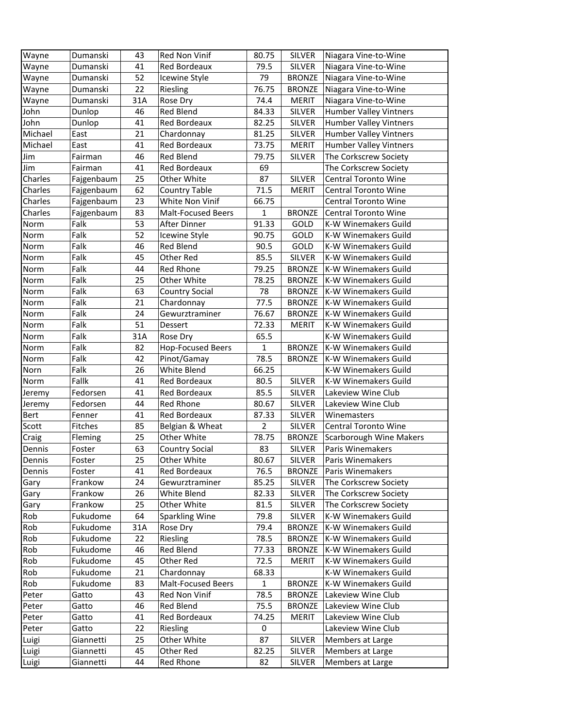| Wayne       | Dumanski   | 43  | Red Non Vinif             | 80.75          | <b>SILVER</b> | Niagara Vine-to-Wine           |
|-------------|------------|-----|---------------------------|----------------|---------------|--------------------------------|
| Wayne       | Dumanski   | 41  | Red Bordeaux              | 79.5           | <b>SILVER</b> | Niagara Vine-to-Wine           |
| Wayne       | Dumanski   | 52  | Icewine Style             | 79             | <b>BRONZE</b> | Niagara Vine-to-Wine           |
| Wayne       | Dumanski   | 22  | Riesling                  | 76.75          | <b>BRONZE</b> | Niagara Vine-to-Wine           |
| Wayne       | Dumanski   | 31A | Rose Dry                  | 74.4           | <b>MERIT</b>  | Niagara Vine-to-Wine           |
| John        | Dunlop     | 46  | <b>Red Blend</b>          | 84.33          | <b>SILVER</b> | Humber Valley Vintners         |
| John        | Dunlop     | 41  | Red Bordeaux              | 82.25          | SILVER        | Humber Valley Vintners         |
| Michael     | East       | 21  | Chardonnay                | 81.25          | <b>SILVER</b> | Humber Valley Vintners         |
| Michael     | East       | 41  | Red Bordeaux              | 73.75          | <b>MERIT</b>  | Humber Valley Vintners         |
| Jim         | Fairman    | 46  | <b>Red Blend</b>          | 79.75          | <b>SILVER</b> | The Corkscrew Society          |
| Jim         | Fairman    | 41  | <b>Red Bordeaux</b>       | 69             |               | The Corkscrew Society          |
| Charles     | Fajgenbaum | 25  | Other White               | 87             | <b>SILVER</b> | <b>Central Toronto Wine</b>    |
| Charles     | Fajgenbaum | 62  | <b>Country Table</b>      | 71.5           | <b>MERIT</b>  | <b>Central Toronto Wine</b>    |
| Charles     | Fajgenbaum | 23  | White Non Vinif           | 66.75          |               | <b>Central Toronto Wine</b>    |
| Charles     | Fajgenbaum | 83  | <b>Malt-Focused Beers</b> | $\mathbf{1}$   | <b>BRONZE</b> | <b>Central Toronto Wine</b>    |
| Norm        | Falk       | 53  | After Dinner              | 91.33          | GOLD          | K-W Winemakers Guild           |
| Norm        | Falk       | 52  | Icewine Style             | 90.75          | GOLD          | K-W Winemakers Guild           |
| Norm        | Falk       | 46  | Red Blend                 | 90.5           | GOLD          | K-W Winemakers Guild           |
| Norm        | Falk       | 45  | Other Red                 | 85.5           | <b>SILVER</b> | K-W Winemakers Guild           |
| Norm        | Falk       | 44  | Red Rhone                 | 79.25          | <b>BRONZE</b> | <b>K-W Winemakers Guild</b>    |
| Norm        | Falk       | 25  | Other White               | 78.25          | <b>BRONZE</b> | <b>K-W Winemakers Guild</b>    |
| Norm        | Falk       | 63  | <b>Country Social</b>     | 78             | <b>BRONZE</b> | <b>K-W Winemakers Guild</b>    |
| Norm        | Falk       | 21  | Chardonnay                | 77.5           | <b>BRONZE</b> | K-W Winemakers Guild           |
| Norm        | Falk       | 24  | Gewurztraminer            | 76.67          | <b>BRONZE</b> | <b>K-W Winemakers Guild</b>    |
| Norm        | Falk       | 51  | Dessert                   | 72.33          | <b>MERIT</b>  | K-W Winemakers Guild           |
| Norm        | Falk       | 31A | Rose Dry                  | 65.5           |               | K-W Winemakers Guild           |
| Norm        | Falk       | 82  | <b>Hop-Focused Beers</b>  | 1              | <b>BRONZE</b> | <b>K-W Winemakers Guild</b>    |
| Norm        | Falk       | 42  | Pinot/Gamay               | 78.5           | <b>BRONZE</b> | <b>K-W Winemakers Guild</b>    |
| Norn        | Falk       | 26  | White Blend               | 66.25          |               | K-W Winemakers Guild           |
| Norm        | Fallk      | 41  | Red Bordeaux              | 80.5           | <b>SILVER</b> | K-W Winemakers Guild           |
| Jeremy      | Fedorsen   | 41  | Red Bordeaux              | 85.5           | <b>SILVER</b> | Lakeview Wine Club             |
| Jeremy      | Fedorsen   | 44  | <b>Red Rhone</b>          | 80.67          | <b>SILVER</b> | Lakeview Wine Club             |
| <b>Bert</b> | Fenner     | 41  | Red Bordeaux              | 87.33          | <b>SILVER</b> | Winemasters                    |
| Scott       | Fitches    | 85  | Belgian & Wheat           | $\overline{2}$ | <b>SILVER</b> | <b>Central Toronto Wine</b>    |
| Craig       | Fleming    | 25  | Other White               | 78.75          | <b>BRONZE</b> | <b>Scarborough Wine Makers</b> |
| Dennis      | Foster     | 63  | <b>Country Social</b>     | 83             | <b>SILVER</b> | Paris Winemakers               |
| Dennis      | Foster     | 25  | Other White               | 80.67          | <b>SILVER</b> | Paris Winemakers               |
| Dennis      | Foster     | 41  | Red Bordeaux              | 76.5           | <b>BRONZE</b> | Paris Winemakers               |
| Gary        | Frankow    | 24  | Gewurztraminer            | 85.25          | <b>SILVER</b> | The Corkscrew Society          |
| Gary        | Frankow    | 26  | White Blend               | 82.33          | <b>SILVER</b> | The Corkscrew Society          |
| Gary        | Frankow    | 25  | Other White               | 81.5           | SILVER        | The Corkscrew Society          |
| Rob         | Fukudome   | 64  | <b>Sparkling Wine</b>     | 79.8           | SILVER        | K-W Winemakers Guild           |
| Rob         | Fukudome   | 31A | Rose Dry                  | 79.4           | <b>BRONZE</b> | K-W Winemakers Guild           |
| Rob         | Fukudome   | 22  | Riesling                  | 78.5           | <b>BRONZE</b> | K-W Winemakers Guild           |
| Rob         | Fukudome   | 46  | Red Blend                 | 77.33          | <b>BRONZE</b> | K-W Winemakers Guild           |
| Rob         | Fukudome   | 45  | Other Red                 | 72.5           | <b>MERIT</b>  | K-W Winemakers Guild           |
| Rob         | Fukudome   | 21  | Chardonnay                | 68.33          |               | K-W Winemakers Guild           |
| Rob         | Fukudome   | 83  | <b>Malt-Focused Beers</b> | $\mathbf{1}$   | <b>BRONZE</b> | K-W Winemakers Guild           |
| Peter       | Gatto      | 43  | Red Non Vinif             | 78.5           | <b>BRONZE</b> | Lakeview Wine Club             |
| Peter       | Gatto      | 46  | Red Blend                 | 75.5           | <b>BRONZE</b> | Lakeview Wine Club             |
| Peter       | Gatto      | 41  | Red Bordeaux              | 74.25          | <b>MERIT</b>  | Lakeview Wine Club             |
| Peter       | Gatto      | 22  | Riesling                  | 0              |               | Lakeview Wine Club             |
| Luigi       | Giannetti  | 25  | Other White               | 87             | <b>SILVER</b> | Members at Large               |
| Luigi       | Giannetti  | 45  | Other Red                 | 82.25          | <b>SILVER</b> | Members at Large               |
| Luigi       | Giannetti  | 44  | Red Rhone                 | 82             | SILVER        | Members at Large               |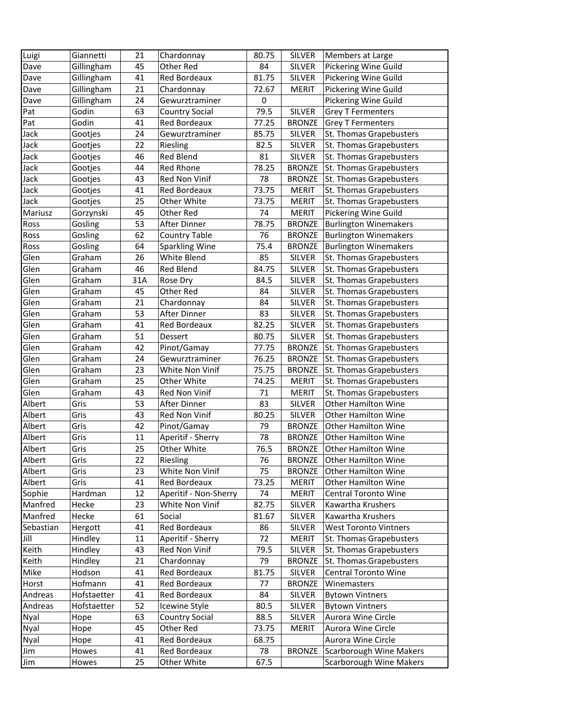| Luigi     | Giannetti        | 21  | Chardonnay            | 80.75 | <b>SILVER</b> | Members at Large                  |
|-----------|------------------|-----|-----------------------|-------|---------------|-----------------------------------|
| Dave      | Gillingham       | 45  | Other Red             | 84    | <b>SILVER</b> | Pickering Wine Guild              |
| Dave      | Gillingham       | 41  | Red Bordeaux          | 81.75 | <b>SILVER</b> | Pickering Wine Guild              |
| Dave      | Gillingham       | 21  | Chardonnay            | 72.67 | <b>MERIT</b>  | Pickering Wine Guild              |
| Dave      | Gillingham       | 24  | Gewurztraminer        | 0     |               | Pickering Wine Guild              |
| Pat       | Godin            | 63  | <b>Country Social</b> | 79.5  | <b>SILVER</b> | <b>Grey T Fermenters</b>          |
| Pat       | Godin            | 41  | Red Bordeaux          | 77.25 | <b>BRONZE</b> | <b>Grey T Fermenters</b>          |
| Jack      | Gootjes          | 24  | Gewurztraminer        | 85.75 | <b>SILVER</b> | St. Thomas Grapebusters           |
| Jack      | Gootjes          | 22  | Riesling              | 82.5  | <b>SILVER</b> | St. Thomas Grapebusters           |
| Jack      | Gootjes          | 46  | Red Blend             | 81    | <b>SILVER</b> | St. Thomas Grapebusters           |
| Jack      | Gootjes          | 44  | Red Rhone             | 78.25 | <b>BRONZE</b> | St. Thomas Grapebusters           |
| Jack      | Gootjes          | 43  | Red Non Vinif         | 78    | <b>BRONZE</b> | St. Thomas Grapebusters           |
| Jack      | Gootjes          | 41  | Red Bordeaux          | 73.75 | <b>MERIT</b>  | St. Thomas Grapebusters           |
| Jack      | Gootjes          | 25  | Other White           | 73.75 | <b>MERIT</b>  | St. Thomas Grapebusters           |
| Mariusz   | Gorzynski        | 45  | Other Red             | 74    | <b>MERIT</b>  | Pickering Wine Guild              |
| Ross      | Gosling          | 53  | After Dinner          | 78.75 | <b>BRONZE</b> | <b>Burlington Winemakers</b>      |
| Ross      | Gosling          | 62  | <b>Country Table</b>  | 76    | <b>BRONZE</b> | <b>Burlington Winemakers</b>      |
| Ross      | Gosling          | 64  | Sparkling Wine        | 75.4  | <b>BRONZE</b> | <b>Burlington Winemakers</b>      |
| Glen      | Graham           | 26  | White Blend           | 85    | SILVER        | St. Thomas Grapebusters           |
| Glen      | Graham           | 46  | <b>Red Blend</b>      | 84.75 | <b>SILVER</b> | St. Thomas Grapebusters           |
| Glen      |                  | 31A |                       | 84.5  | <b>SILVER</b> | St. Thomas Grapebusters           |
| Glen      | Graham<br>Graham | 45  | Rose Dry<br>Other Red | 84    | <b>SILVER</b> | St. Thomas Grapebusters           |
| Glen      |                  |     |                       |       | <b>SILVER</b> |                                   |
|           | Graham           | 21  | Chardonnay            | 84    |               | St. Thomas Grapebusters           |
| Glen      | Graham           | 53  | After Dinner          | 83    | <b>SILVER</b> | St. Thomas Grapebusters           |
| Glen      | Graham           | 41  | Red Bordeaux          | 82.25 | <b>SILVER</b> | St. Thomas Grapebusters           |
| Glen      | Graham           | 51  | Dessert               | 80.75 | <b>SILVER</b> | St. Thomas Grapebusters           |
| Glen      | Graham           | 42  | Pinot/Gamay           | 77.75 | <b>BRONZE</b> | St. Thomas Grapebusters           |
| Glen      | Graham           | 24  | Gewurztraminer        | 76.25 | <b>BRONZE</b> | St. Thomas Grapebusters           |
| Glen      | Graham           | 23  | White Non Vinif       | 75.75 | <b>BRONZE</b> | St. Thomas Grapebusters           |
| Glen      | Graham           | 25  | Other White           | 74.25 | <b>MERIT</b>  | St. Thomas Grapebusters           |
| Glen      | Graham           | 43  | Red Non Vinif         | 71    | <b>MERIT</b>  | St. Thomas Grapebusters           |
| Albert    | Gris             | 53  | After Dinner          | 83    | <b>SILVER</b> | <b>Other Hamilton Wine</b>        |
| Albert    | Gris             | 43  | Red Non Vinif         | 80.25 | <b>SILVER</b> | <b>Other Hamilton Wine</b>        |
| Albert    | Gris             | 42  | Pinot/Gamay           | 79    | <b>BRONZE</b> | <b>Other Hamilton Wine</b>        |
| Albert    | Gris             | 11  | Aperitif - Sherry     | 78    | <b>BRONZE</b> | <b>Other Hamilton Wine</b>        |
| Albert    | Gris             | 25  | Other White           | 76.5  | <b>BRONZE</b> | Other Hamilton Wine               |
| Albert    | Gris             | 22  | Riesling              | 76    |               | <b>BRONZE</b> Other Hamilton Wine |
| Albert    | Gris             | 23  | White Non Vinif       | 75    | <b>BRONZE</b> | Other Hamilton Wine               |
| Albert    | Gris             | 41  | Red Bordeaux          | 73.25 | <b>MERIT</b>  | <b>Other Hamilton Wine</b>        |
| Sophie    | Hardman          | 12  | Aperitif - Non-Sherry | 74    | <b>MERIT</b>  | <b>Central Toronto Wine</b>       |
| Manfred   | Hecke            | 23  | White Non Vinif       | 82.75 | <b>SILVER</b> | Kawartha Krushers                 |
| Manfred   | Hecke            | 61  | Social                | 81.67 | SILVER        | Kawartha Krushers                 |
| Sebastian | Hergott          | 41  | <b>Red Bordeaux</b>   | 86    | <b>SILVER</b> | <b>West Toronto Vintners</b>      |
| Jill      | Hindley          | 11  | Aperitif - Sherry     | 72    | <b>MERIT</b>  | St. Thomas Grapebusters           |
| Keith     | Hindley          | 43  | Red Non Vinif         | 79.5  | <b>SILVER</b> | St. Thomas Grapebusters           |
| Keith     | Hindley          | 21  | Chardonnay            | 79    | <b>BRONZE</b> | St. Thomas Grapebusters           |
| Mike      | Hodson           | 41  | <b>Red Bordeaux</b>   | 81.75 | <b>SILVER</b> | Central Toronto Wine              |
| Horst     | Hofmann          | 41  | Red Bordeaux          | 77    | <b>BRONZE</b> | Winemasters                       |
| Andreas   | Hofstaetter      | 41  | Red Bordeaux          | 84    | <b>SILVER</b> | <b>Bytown Vintners</b>            |
| Andreas   | Hofstaetter      | 52  | Icewine Style         | 80.5  | <b>SILVER</b> | <b>Bytown Vintners</b>            |
| Nyal      | Hope             | 63  | <b>Country Social</b> | 88.5  | <b>SILVER</b> | Aurora Wine Circle                |
| Nyal      | Hope             | 45  | Other Red             | 73.75 | <b>MERIT</b>  | Aurora Wine Circle                |
| Nyal      | Hope             | 41  | Red Bordeaux          | 68.75 |               | Aurora Wine Circle                |
| Jim       | Howes            | 41  | Red Bordeaux          | 78    | <b>BRONZE</b> | <b>Scarborough Wine Makers</b>    |
| Jim       | Howes            | 25  | Other White           | 67.5  |               | Scarborough Wine Makers           |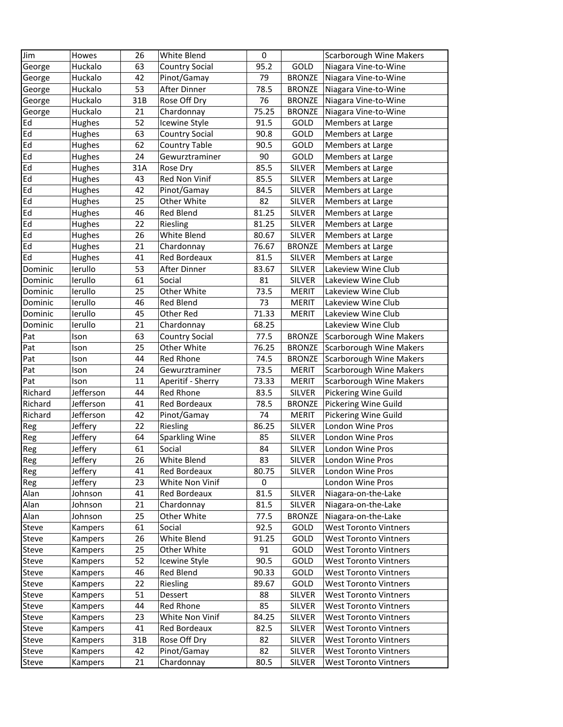| Jim            | Howes              | 26       | White Blend           | $\mathbf 0$    |                         | <b>Scarborough Wine Makers</b>                 |
|----------------|--------------------|----------|-----------------------|----------------|-------------------------|------------------------------------------------|
| George         | Huckalo            | 63       | <b>Country Social</b> | 95.2           | GOLD                    | Niagara Vine-to-Wine                           |
| George         | Huckalo            | 42       | Pinot/Gamay           | 79             | <b>BRONZE</b>           | Niagara Vine-to-Wine                           |
| George         | Huckalo            | 53       | After Dinner          | 78.5           | <b>BRONZE</b>           | Niagara Vine-to-Wine                           |
| George         | Huckalo            | 31B      | Rose Off Dry          | 76             | <b>BRONZE</b>           | Niagara Vine-to-Wine                           |
| George         | Huckalo            | 21       | Chardonnay            | 75.25          | <b>BRONZE</b>           | Niagara Vine-to-Wine                           |
| Ed             | Hughes             | 52       | Icewine Style         | 91.5           | GOLD                    | Members at Large                               |
| Ed             | Hughes             | 63       | <b>Country Social</b> | 90.8           | GOLD                    | Members at Large                               |
| Ed             | Hughes             | 62       | <b>Country Table</b>  | 90.5           | GOLD                    | Members at Large                               |
| Ed             | Hughes             | 24       | Gewurztraminer        | 90             | GOLD                    | Members at Large                               |
| Ed             | Hughes             | 31A      | Rose Dry              | 85.5           | <b>SILVER</b>           | Members at Large                               |
| Ed             | Hughes             | 43       | Red Non Vinif         | 85.5           | <b>SILVER</b>           | Members at Large                               |
| Ed             | Hughes             | 42       | Pinot/Gamay           | 84.5           | <b>SILVER</b>           | Members at Large                               |
| Ed             | Hughes             | 25       | Other White           | 82             | <b>SILVER</b>           | Members at Large                               |
| Ed             | Hughes             | 46       | Red Blend             | 81.25          | SILVER                  | Members at Large                               |
| Ed             | Hughes             | 22       | Riesling              | 81.25          | SILVER                  | Members at Large                               |
| Ed             | Hughes             | 26       | White Blend           | 80.67          | SILVER                  | Members at Large                               |
| Ed             | Hughes             | 21       | Chardonnay            | 76.67          | <b>BRONZE</b>           | Members at Large                               |
| Ed             | Hughes             | 41       | <b>Red Bordeaux</b>   | 81.5           | SILVER                  | Members at Large                               |
| Dominic        | lerullo            | 53       | After Dinner          | 83.67          | <b>SILVER</b>           | Lakeview Wine Club                             |
| Dominic        | lerullo            | 61       | Social                | 81             | <b>SILVER</b>           | Lakeview Wine Club                             |
| Dominic        | lerullo            | 25       | Other White           | 73.5           | <b>MERIT</b>            | Lakeview Wine Club                             |
| Dominic        | lerullo            | 46       | Red Blend             | 73             | <b>MERIT</b>            | Lakeview Wine Club                             |
| Dominic        | lerullo            | 45       | Other Red             | 71.33          | <b>MERIT</b>            | Lakeview Wine Club                             |
| Dominic        | lerullo            | 21       | Chardonnay            | 68.25          |                         | Lakeview Wine Club                             |
| Pat            | Ison               | 63       | <b>Country Social</b> | 77.5           | <b>BRONZE</b>           | <b>Scarborough Wine Makers</b>                 |
| Pat            | Ison               | 25       | Other White           | 76.25          | <b>BRONZE</b>           | <b>Scarborough Wine Makers</b>                 |
| Pat            | Ison               | 44       | <b>Red Rhone</b>      | 74.5           | <b>BRONZE</b>           | <b>Scarborough Wine Makers</b>                 |
| Pat            | Ison               | 24       | Gewurztraminer        | 73.5           | <b>MERIT</b>            | <b>Scarborough Wine Makers</b>                 |
| Pat            | Ison               | 11       | Aperitif - Sherry     | 73.33          | <b>MERIT</b>            | <b>Scarborough Wine Makers</b>                 |
| Richard        | Jefferson          | 44       | Red Rhone             | 83.5           | <b>SILVER</b>           | Pickering Wine Guild                           |
| Richard        | Jefferson          | 41       | Red Bordeaux          | 78.5           | <b>BRONZE</b>           | Pickering Wine Guild                           |
| Richard        | Jefferson          | 42       | Pinot/Gamay           | 74             | <b>MERIT</b>            | Pickering Wine Guild                           |
| Reg            | Jeffery            | 22       | Riesling              | 86.25          | <b>SILVER</b>           | London Wine Pros                               |
| Reg            | Jeffery            | 64       | <b>Sparkling Wine</b> | 85             | <b>SILVER</b>           | London Wine Pros                               |
| Reg            | Jeffery            | 61       | Social                | 84             | SILVER                  | London Wine Pros                               |
| Reg            | Jeffery            | 26       | White Blend           | 83             | SILVER                  | London Wine Pros                               |
| Reg            | Jeffery            | 41       | Red Bordeaux          | 80.75          | <b>SILVER</b>           | London Wine Pros                               |
| Reg            | Jeffery            | 23       | White Non Vinif       | 0              |                         | London Wine Pros                               |
| Alan           | Johnson            | 41       | Red Bordeaux          | 81.5           | SILVER                  | Niagara-on-the-Lake                            |
| Alan           | Johnson            | 21       | Chardonnay            | 81.5           | SILVER                  | Niagara-on-the-Lake                            |
| Alan           | Johnson            | 25       | Other White           | 77.5           | <b>BRONZE</b>           | Niagara-on-the-Lake                            |
| Steve          | Kampers            | 61       | Social                | 92.5           | GOLD                    | <b>West Toronto Vintners</b>                   |
| Steve          | Kampers            | 26       | White Blend           | 91.25          | GOLD                    | West Toronto Vintners                          |
| Steve          | Kampers            | 25       | Other White           | 91             | GOLD                    | <b>West Toronto Vintners</b>                   |
| Steve          | Kampers            | 52       | Icewine Style         | 90.5           | GOLD                    | West Toronto Vintners                          |
|                |                    |          |                       |                |                         | <b>West Toronto Vintners</b>                   |
| Steve<br>Steve | Kampers<br>Kampers | 46<br>22 | Red Blend<br>Riesling | 90.33<br>89.67 | GOLD<br>GOLD            | West Toronto Vintners                          |
|                |                    |          |                       |                |                         |                                                |
| Steve<br>Steve | Kampers            | 51<br>44 | Dessert<br>Red Rhone  | 88<br>85       | <b>SILVER</b><br>SILVER | West Toronto Vintners<br>West Toronto Vintners |
|                | Kampers            | 23       | White Non Vinif       | 84.25          | <b>SILVER</b>           | <b>West Toronto Vintners</b>                   |
| Steve          | Kampers            |          |                       |                |                         |                                                |
| Steve          | Kampers            | 41       | Red Bordeaux          | 82.5           | <b>SILVER</b>           | <b>West Toronto Vintners</b>                   |
| Steve          | Kampers            | 31B      | Rose Off Dry          | 82<br>82       | SILVER                  | West Toronto Vintners                          |
| Steve          | Kampers            | 42       | Pinot/Gamay           |                | SILVER                  | <b>West Toronto Vintners</b>                   |
| Steve          | Kampers            | 21       | Chardonnay            | 80.5           | SILVER                  | <b>West Toronto Vintners</b>                   |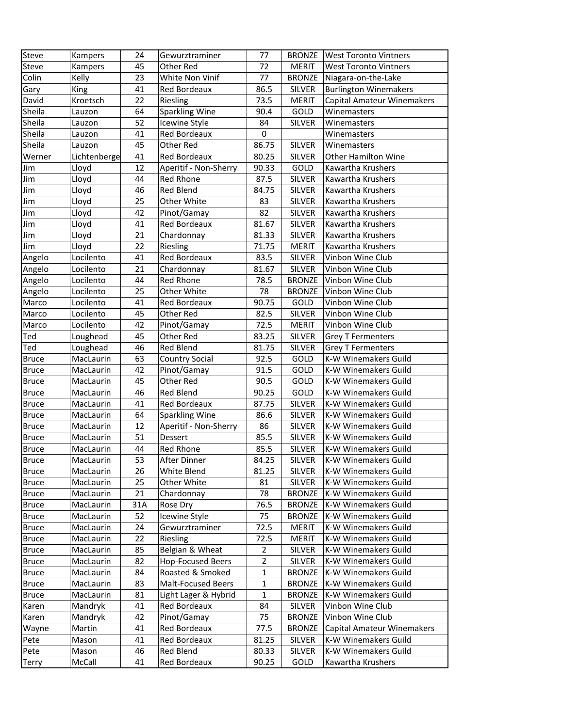| Steve        | Kampers      | 24  | Gewurztraminer            | 77          | <b>BRONZE</b> | <b>West Toronto Vintners</b>      |
|--------------|--------------|-----|---------------------------|-------------|---------------|-----------------------------------|
| Steve        | Kampers      | 45  | Other Red                 | 72          | <b>MERIT</b>  | <b>West Toronto Vintners</b>      |
| Colin        | Kelly        | 23  | White Non Vinif           | 77          | <b>BRONZE</b> | Niagara-on-the-Lake               |
| Gary         | King         | 41  | Red Bordeaux              | 86.5        | <b>SILVER</b> | <b>Burlington Winemakers</b>      |
| David        | Kroetsch     | 22  | Riesling                  | 73.5        | <b>MERIT</b>  | Capital Amateur Winemakers        |
| Sheila       | Lauzon       | 64  | Sparkling Wine            | 90.4        | GOLD          | Winemasters                       |
| Sheila       | Lauzon       | 52  | Icewine Style             | 84          | <b>SILVER</b> | Winemasters                       |
| Sheila       | Lauzon       | 41  | Red Bordeaux              | 0           |               | Winemasters                       |
| Sheila       | Lauzon       | 45  | Other Red                 | 86.75       | <b>SILVER</b> | Winemasters                       |
| Werner       | Lichtenberge | 41  | Red Bordeaux              | 80.25       | <b>SILVER</b> | <b>Other Hamilton Wine</b>        |
| Jim          | Lloyd        | 12  | Aperitif - Non-Sherry     | 90.33       | GOLD          | Kawartha Krushers                 |
| Jim          | Lloyd        | 44  | Red Rhone                 | 87.5        | <b>SILVER</b> | Kawartha Krushers                 |
| Jim          | Lloyd        | 46  | Red Blend                 | 84.75       | <b>SILVER</b> | Kawartha Krushers                 |
| Jim          | Lloyd        | 25  | Other White               | 83          | <b>SILVER</b> | Kawartha Krushers                 |
| Jim          | Lloyd        | 42  | Pinot/Gamay               | 82          | <b>SILVER</b> | Kawartha Krushers                 |
| Jim          | Lloyd        | 41  | Red Bordeaux              | 81.67       | <b>SILVER</b> | Kawartha Krushers                 |
| Jim          | Lloyd        | 21  | Chardonnay                | 81.33       | <b>SILVER</b> | Kawartha Krushers                 |
| Jim          | Lloyd        | 22  | Riesling                  | 71.75       | <b>MERIT</b>  | Kawartha Krushers                 |
| Angelo       | Locilento    | 41  | Red Bordeaux              | 83.5        | <b>SILVER</b> | Vinbon Wine Club                  |
| Angelo       | Locilento    | 21  | Chardonnay                | 81.67       | <b>SILVER</b> | Vinbon Wine Club                  |
| Angelo       | Locilento    | 44  | Red Rhone                 | 78.5        | <b>BRONZE</b> | Vinbon Wine Club                  |
| Angelo       | Locilento    | 25  | Other White               | 78          | <b>BRONZE</b> | Vinbon Wine Club                  |
| Marco        | Locilento    | 41  | Red Bordeaux              | 90.75       | GOLD          | Vinbon Wine Club                  |
| Marco        | Locilento    | 45  | Other Red                 | 82.5        | <b>SILVER</b> | Vinbon Wine Club                  |
| Marco        | Locilento    | 42  | Pinot/Gamay               | 72.5        | <b>MERIT</b>  | Vinbon Wine Club                  |
| Ted          | Loughead     | 45  | Other Red                 | 83.25       | <b>SILVER</b> | <b>Grey T Fermenters</b>          |
| Ted          | Loughead     | 46  | Red Blend                 | 81.75       | <b>SILVER</b> | <b>Grey T Fermenters</b>          |
| <b>Bruce</b> | MacLaurin    | 63  | <b>Country Social</b>     | 92.5        | GOLD          | K-W Winemakers Guild              |
| <b>Bruce</b> | MacLaurin    | 42  | Pinot/Gamay               | 91.5        | GOLD          | K-W Winemakers Guild              |
| <b>Bruce</b> | MacLaurin    | 45  | Other Red                 | 90.5        | GOLD          | K-W Winemakers Guild              |
| <b>Bruce</b> | MacLaurin    | 46  | <b>Red Blend</b>          | 90.25       | GOLD          | K-W Winemakers Guild              |
| <b>Bruce</b> | MacLaurin    | 41  | Red Bordeaux              | 87.75       | <b>SILVER</b> | K-W Winemakers Guild              |
| <b>Bruce</b> | MacLaurin    | 64  | <b>Sparkling Wine</b>     | 86.6        | <b>SILVER</b> | K-W Winemakers Guild              |
| <b>Bruce</b> | MacLaurin    | 12  | Aperitif - Non-Sherry     | 86          | SILVER        | <b>K-W Winemakers Guild</b>       |
| <b>Bruce</b> | MacLaurin    | 51  | Dessert                   | 85.5        | SILVER        | <b>K-W Winemakers Guild</b>       |
| <b>Bruce</b> | MacLaurin    | 44  | Red Rhone                 | 85.5        | <b>SILVER</b> | <b>K-W Winemakers Guild</b>       |
| <b>Bruce</b> | MacLaurin    | 53  | After Dinner              | 84.25       | <b>SILVER</b> | K-W Winemakers Guild              |
| <b>Bruce</b> | MacLaurin    | 26  | White Blend               | 81.25       | <b>SILVER</b> | K-W Winemakers Guild              |
| <b>Bruce</b> | MacLaurin    | 25  | Other White               | 81          | <b>SILVER</b> | K-W Winemakers Guild              |
| <b>Bruce</b> | MacLaurin    | 21  | Chardonnay                | 78          | <b>BRONZE</b> | K-W Winemakers Guild              |
| <b>Bruce</b> | MacLaurin    | 31A | Rose Dry                  | 76.5        | <b>BRONZE</b> | K-W Winemakers Guild              |
| <b>Bruce</b> | MacLaurin    | 52  | Icewine Style             | 75          | <b>BRONZE</b> | K-W Winemakers Guild              |
| <b>Bruce</b> | MacLaurin    | 24  | Gewurztraminer            | 72.5        | <b>MERIT</b>  | K-W Winemakers Guild              |
| <b>Bruce</b> | MacLaurin    | 22  | Riesling                  | 72.5        | <b>MERIT</b>  | K-W Winemakers Guild              |
| <b>Bruce</b> | MacLaurin    | 85  | Belgian & Wheat           | 2           | <b>SILVER</b> | <b>K-W Winemakers Guild</b>       |
| <b>Bruce</b> | MacLaurin    | 82  | <b>Hop-Focused Beers</b>  | 2           | <b>SILVER</b> | K-W Winemakers Guild              |
| <b>Bruce</b> | MacLaurin    | 84  | Roasted & Smoked          | 1           | <b>BRONZE</b> | K-W Winemakers Guild              |
| <b>Bruce</b> | MacLaurin    | 83  | <b>Malt-Focused Beers</b> | 1           | <b>BRONZE</b> | K-W Winemakers Guild              |
| <b>Bruce</b> | MacLaurin    | 81  | Light Lager & Hybrid      | $\mathbf 1$ | <b>BRONZE</b> | K-W Winemakers Guild              |
| Karen        | Mandryk      | 41  | Red Bordeaux              | 84          | SILVER        | Vinbon Wine Club                  |
| Karen        | Mandryk      | 42  | Pinot/Gamay               | 75          | <b>BRONZE</b> | Vinbon Wine Club                  |
|              |              |     |                           |             |               |                                   |
| Wayne        | Martin       | 41  | Red Bordeaux              | 77.5        | <b>BRONZE</b> | <b>Capital Amateur Winemakers</b> |
| Pete         | Mason        | 41  | Red Bordeaux              | 81.25       | SILVER        | K-W Winemakers Guild              |
| Pete         | Mason        | 46  | Red Blend                 | 80.33       | <b>SILVER</b> | K-W Winemakers Guild              |
| <b>Terry</b> | McCall       | 41  | Red Bordeaux              | 90.25       | GOLD          | Kawartha Krushers                 |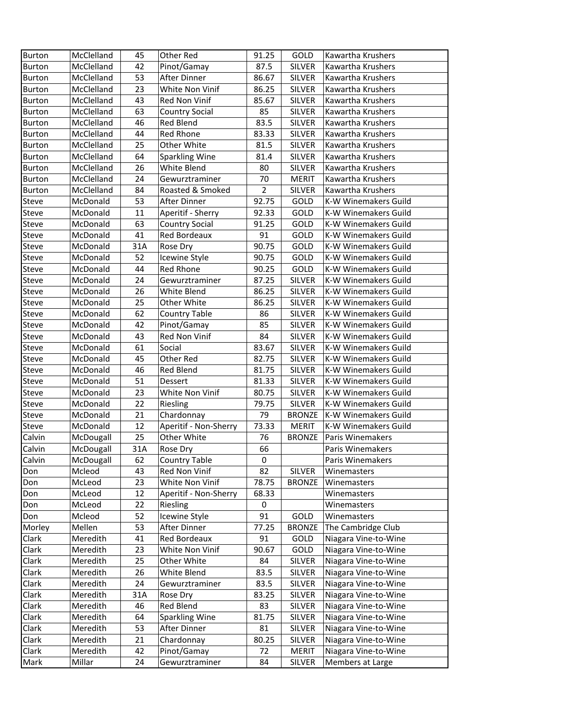| Burton        | McClelland | 45  | Other Red             | 91.25          | GOLD          | Kawartha Krushers           |
|---------------|------------|-----|-----------------------|----------------|---------------|-----------------------------|
| <b>Burton</b> | McClelland | 42  | Pinot/Gamay           | 87.5           | <b>SILVER</b> | Kawartha Krushers           |
| Burton        | McClelland | 53  | After Dinner          | 86.67          | <b>SILVER</b> | Kawartha Krushers           |
| <b>Burton</b> | McClelland | 23  | White Non Vinif       | 86.25          | <b>SILVER</b> | Kawartha Krushers           |
| Burton        | McClelland | 43  | Red Non Vinif         | 85.67          | <b>SILVER</b> | Kawartha Krushers           |
| Burton        | McClelland | 63  | <b>Country Social</b> | 85             | <b>SILVER</b> | Kawartha Krushers           |
| Burton        | McClelland | 46  | Red Blend             | 83.5           | <b>SILVER</b> | Kawartha Krushers           |
| Burton        | McClelland | 44  | Red Rhone             | 83.33          | <b>SILVER</b> | Kawartha Krushers           |
| Burton        | McClelland | 25  | Other White           | 81.5           | <b>SILVER</b> | <b>Kawartha Krushers</b>    |
| Burton        | McClelland | 64  | Sparkling Wine        | 81.4           | <b>SILVER</b> | Kawartha Krushers           |
| <b>Burton</b> | McClelland | 26  | White Blend           | 80             | <b>SILVER</b> | Kawartha Krushers           |
| <b>Burton</b> | McClelland | 24  | Gewurztraminer        | 70             | <b>MERIT</b>  | Kawartha Krushers           |
| <b>Burton</b> | McClelland | 84  | Roasted & Smoked      | $\overline{2}$ | <b>SILVER</b> | Kawartha Krushers           |
| Steve         | McDonald   | 53  | After Dinner          | 92.75          | GOLD          | K-W Winemakers Guild        |
| Steve         | McDonald   | 11  | Aperitif - Sherry     | 92.33          | GOLD          | K-W Winemakers Guild        |
| Steve         | McDonald   | 63  | <b>Country Social</b> | 91.25          | GOLD          | K-W Winemakers Guild        |
| Steve         | McDonald   | 41  | <b>Red Bordeaux</b>   | 91             | GOLD          | K-W Winemakers Guild        |
| Steve         | McDonald   | 31A | Rose Dry              | 90.75          | GOLD          | K-W Winemakers Guild        |
| Steve         | McDonald   | 52  | Icewine Style         | 90.75          | GOLD          | K-W Winemakers Guild        |
| Steve         | McDonald   | 44  | <b>Red Rhone</b>      | 90.25          | GOLD          | K-W Winemakers Guild        |
| Steve         | McDonald   | 24  | Gewurztraminer        | 87.25          | <b>SILVER</b> | K-W Winemakers Guild        |
| Steve         | McDonald   | 26  | White Blend           | 86.25          | <b>SILVER</b> | K-W Winemakers Guild        |
| Steve         | McDonald   | 25  | Other White           | 86.25          | <b>SILVER</b> | K-W Winemakers Guild        |
| Steve         | McDonald   | 62  | <b>Country Table</b>  | 86             | <b>SILVER</b> | K-W Winemakers Guild        |
| Steve         | McDonald   | 42  | Pinot/Gamay           | 85             | <b>SILVER</b> | K-W Winemakers Guild        |
| Steve         | McDonald   | 43  | Red Non Vinif         | 84             | <b>SILVER</b> | K-W Winemakers Guild        |
| Steve         | McDonald   | 61  | Social                | 83.67          | <b>SILVER</b> | K-W Winemakers Guild        |
| Steve         | McDonald   | 45  | Other Red             | 82.75          | <b>SILVER</b> | K-W Winemakers Guild        |
| Steve         | McDonald   | 46  | <b>Red Blend</b>      | 81.75          | <b>SILVER</b> | K-W Winemakers Guild        |
| Steve         | McDonald   | 51  | Dessert               | 81.33          | <b>SILVER</b> | K-W Winemakers Guild        |
| Steve         | McDonald   | 23  | White Non Vinif       | 80.75          | <b>SILVER</b> | K-W Winemakers Guild        |
| Steve         | McDonald   | 22  | Riesling              | 79.75          | <b>SILVER</b> | <b>K-W Winemakers Guild</b> |
| Steve         | McDonald   | 21  | Chardonnay            | 79             | <b>BRONZE</b> | K-W Winemakers Guild        |
| Steve         | McDonald   | 12  | Aperitif - Non-Sherry | 73.33          | <b>MERIT</b>  | <b>K-W Winemakers Guild</b> |
| Calvin        | McDougall  | 25  | Other White           | 76             | <b>BRONZE</b> | <b>Paris Winemakers</b>     |
| Calvin        | McDougall  | 31A | Rose Dry              | 66             |               | Paris Winemakers            |
| Calvin        | McDougall  | 62  | Country Table         | $\pmb{0}$      |               | Paris Winemakers            |
| Don           | Mcleod     | 43  | Red Non Vinif         | 82             | <b>SILVER</b> | Winemasters                 |
| Don           | McLeod     | 23  | White Non Vinif       | 78.75          | <b>BRONZE</b> | Winemasters                 |
| Don           | McLeod     | 12  | Aperitif - Non-Sherry | 68.33          |               | Winemasters                 |
| Don           | McLeod     | 22  | Riesling              | 0              |               | Winemasters                 |
| Don           | Mcleod     | 52  | Icewine Style         | 91             | GOLD          | Winemasters                 |
| Morley        | Mellen     | 53  | After Dinner          | 77.25          | <b>BRONZE</b> | The Cambridge Club          |
| Clark         | Meredith   | 41  | <b>Red Bordeaux</b>   | 91             | GOLD          | Niagara Vine-to-Wine        |
| Clark         | Meredith   | 23  | White Non Vinif       | 90.67          | GOLD          | Niagara Vine-to-Wine        |
| Clark         | Meredith   | 25  | Other White           | 84             | <b>SILVER</b> | Niagara Vine-to-Wine        |
| Clark         | Meredith   | 26  | White Blend           | 83.5           | <b>SILVER</b> | Niagara Vine-to-Wine        |
| Clark         | Meredith   | 24  | Gewurztraminer        | 83.5           | <b>SILVER</b> | Niagara Vine-to-Wine        |
| Clark         | Meredith   | 31A |                       | 83.25          | <b>SILVER</b> | Niagara Vine-to-Wine        |
| Clark         | Meredith   | 46  | Rose Dry<br>Red Blend | 83             | <b>SILVER</b> | Niagara Vine-to-Wine        |
| Clark         | Meredith   | 64  | <b>Sparkling Wine</b> | 81.75          | <b>SILVER</b> | Niagara Vine-to-Wine        |
| Clark         | Meredith   | 53  | After Dinner          | 81             | <b>SILVER</b> | Niagara Vine-to-Wine        |
| Clark         | Meredith   | 21  | Chardonnay            | 80.25          | SILVER        | Niagara Vine-to-Wine        |
| Clark         | Meredith   | 42  | Pinot/Gamay           | 72             | <b>MERIT</b>  | Niagara Vine-to-Wine        |
| Mark          | Millar     | 24  | Gewurztraminer        | 84             | SILVER        | Members at Large            |
|               |            |     |                       |                |               |                             |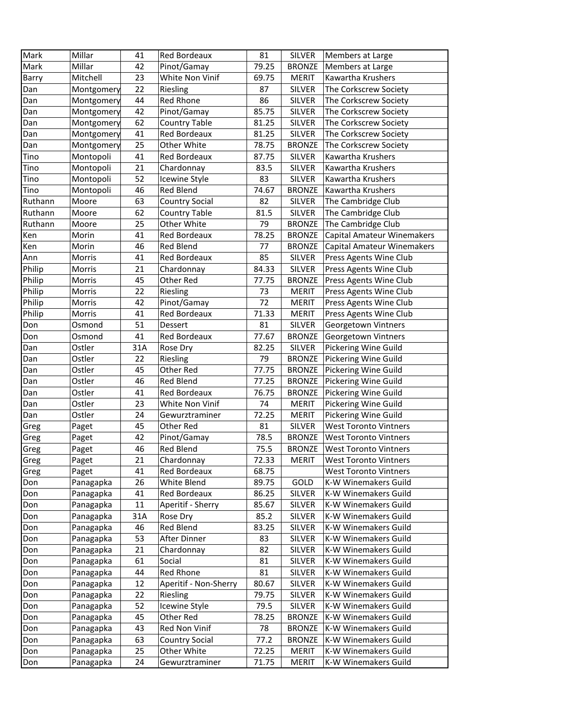| Mark         | Millar     | 41  | Red Bordeaux          | 81    | <b>SILVER</b> | Members at Large             |
|--------------|------------|-----|-----------------------|-------|---------------|------------------------------|
| Mark         | Millar     | 42  | Pinot/Gamay           | 79.25 | <b>BRONZE</b> | Members at Large             |
| Barry        | Mitchell   | 23  | White Non Vinif       | 69.75 | <b>MERIT</b>  | Kawartha Krushers            |
| Dan          | Montgomery | 22  | Riesling              | 87    | <b>SILVER</b> | The Corkscrew Society        |
| Dan          | Montgomery | 44  | Red Rhone             | 86    | <b>SILVER</b> | The Corkscrew Society        |
| Dan          | Montgomery | 42  | Pinot/Gamay           | 85.75 | <b>SILVER</b> | The Corkscrew Society        |
| Dan          | Montgomery | 62  | <b>Country Table</b>  | 81.25 | SILVER        | The Corkscrew Society        |
| Dan          | Montgomery | 41  | Red Bordeaux          | 81.25 | SILVER        | The Corkscrew Society        |
| Dan          | Montgomery | 25  | Other White           | 78.75 | <b>BRONZE</b> | The Corkscrew Society        |
| Tino         | Montopoli  | 41  | Red Bordeaux          | 87.75 | <b>SILVER</b> | Kawartha Krushers            |
| Tino         | Montopoli  | 21  | Chardonnay            | 83.5  | <b>SILVER</b> | Kawartha Krushers            |
| Tino         | Montopoli  | 52  | Icewine Style         | 83    | <b>SILVER</b> | Kawartha Krushers            |
| Tino         | Montopoli  | 46  | Red Blend             | 74.67 | <b>BRONZE</b> | Kawartha Krushers            |
| Ruthann      | Moore      | 63  | <b>Country Social</b> | 82    | SILVER        | The Cambridge Club           |
| Ruthann      | Moore      | 62  | <b>Country Table</b>  | 81.5  | <b>SILVER</b> | The Cambridge Club           |
| Ruthann      | Moore      | 25  | Other White           | 79    | <b>BRONZE</b> | The Cambridge Club           |
| Ken          | Morin      | 41  | Red Bordeaux          | 78.25 | <b>BRONZE</b> | Capital Amateur Winemakers   |
| Ken          | Morin      | 46  | Red Blend             | 77    | <b>BRONZE</b> | Capital Amateur Winemakers   |
| Ann          | Morris     | 41  | Red Bordeaux          | 85    | SILVER        | Press Agents Wine Club       |
| Philip       | Morris     | 21  | Chardonnay            | 84.33 | <b>SILVER</b> | Press Agents Wine Club       |
| Philip       | Morris     | 45  | Other Red             | 77.75 | <b>BRONZE</b> | Press Agents Wine Club       |
| Philip       | Morris     | 22  | Riesling              | 73    | <b>MERIT</b>  | Press Agents Wine Club       |
| Philip       | Morris     | 42  | Pinot/Gamay           | 72    | <b>MERIT</b>  | Press Agents Wine Club       |
| Philip       | Morris     | 41  | Red Bordeaux          | 71.33 | <b>MERIT</b>  | Press Agents Wine Club       |
| Don          | Osmond     | 51  | Dessert               | 81    | <b>SILVER</b> | Georgetown Vintners          |
| Don          | Osmond     | 41  | Red Bordeaux          | 77.67 | <b>BRONZE</b> | Georgetown Vintners          |
| Dan          | Ostler     | 31A | Rose Dry              | 82.25 | <b>SILVER</b> | Pickering Wine Guild         |
| Dan          | Ostler     | 22  | Riesling              | 79    | <b>BRONZE</b> | Pickering Wine Guild         |
| Dan          | Ostler     | 45  | Other Red             | 77.75 | <b>BRONZE</b> | Pickering Wine Guild         |
| Dan          | Ostler     | 46  | Red Blend             | 77.25 | <b>BRONZE</b> | Pickering Wine Guild         |
| Dan          | Ostler     | 41  | Red Bordeaux          | 76.75 | <b>BRONZE</b> | Pickering Wine Guild         |
| Dan          | Ostler     | 23  | White Non Vinif       | 74    | <b>MERIT</b>  | Pickering Wine Guild         |
| Dan          | Ostler     | 24  | Gewurztraminer        | 72.25 | <b>MERIT</b>  | Pickering Wine Guild         |
|              |            | 45  | Other Red             | 81    | SILVER        | <b>West Toronto Vintners</b> |
| Greg<br>Greg | Paget      | 42  | Pinot/Gamay           | 78.5  | <b>BRONZE</b> | <b>West Toronto Vintners</b> |
| Greg         | Paget      | 46  | Red Blend             | 75.5  | <b>BRONZE</b> | <b>West Toronto Vintners</b> |
|              | Paget      | 21  |                       |       |               |                              |
| Greg         | Paget      |     | Chardonnay            | 72.33 | MERIT         | <b>West Toronto Vintners</b> |
| Greg         | Paget      | 41  | Red Bordeaux          | 68.75 |               | <b>West Toronto Vintners</b> |
| Don          | Panagapka  | 26  | White Blend           | 89.75 | GOLD          | <b>K-W Winemakers Guild</b>  |
| Don          | Panagapka  | 41  | Red Bordeaux          | 86.25 | <b>SILVER</b> | K-W Winemakers Guild         |
| Don          | Panagapka  | 11  | Aperitif - Sherry     | 85.67 | <b>SILVER</b> | K-W Winemakers Guild         |
| Don          | Panagapka  | 31A | Rose Dry              | 85.2  | <b>SILVER</b> | K-W Winemakers Guild         |
| Don          | Panagapka  | 46  | <b>Red Blend</b>      | 83.25 | <b>SILVER</b> | K-W Winemakers Guild         |
| Don          | Panagapka  | 53  | After Dinner          | 83    | <b>SILVER</b> | <b>K-W Winemakers Guild</b>  |
| Don          | Panagapka  | 21  | Chardonnay            | 82    | <b>SILVER</b> | K-W Winemakers Guild         |
| Don          | Panagapka  | 61  | Social                | 81    | <b>SILVER</b> | <b>K-W Winemakers Guild</b>  |
| Don          | Panagapka  | 44  | Red Rhone             | 81    | <b>SILVER</b> | K-W Winemakers Guild         |
| Don          | Panagapka  | 12  | Aperitif - Non-Sherry | 80.67 | <b>SILVER</b> | K-W Winemakers Guild         |
| Don          | Panagapka  | 22  | Riesling              | 79.75 | <b>SILVER</b> | K-W Winemakers Guild         |
| Don          | Panagapka  | 52  | Icewine Style         | 79.5  | <b>SILVER</b> | K-W Winemakers Guild         |
| Don          | Panagapka  | 45  | Other Red             | 78.25 | <b>BRONZE</b> | K-W Winemakers Guild         |
| Don          | Panagapka  | 43  | Red Non Vinif         | 78    | <b>BRONZE</b> | K-W Winemakers Guild         |
| Don          | Panagapka  | 63  | <b>Country Social</b> | 77.2  | <b>BRONZE</b> | K-W Winemakers Guild         |
| Don          | Panagapka  | 25  | Other White           | 72.25 | <b>MERIT</b>  | K-W Winemakers Guild         |
| Don          | Panagapka  | 24  | Gewurztraminer        | 71.75 | <b>MERIT</b>  | K-W Winemakers Guild         |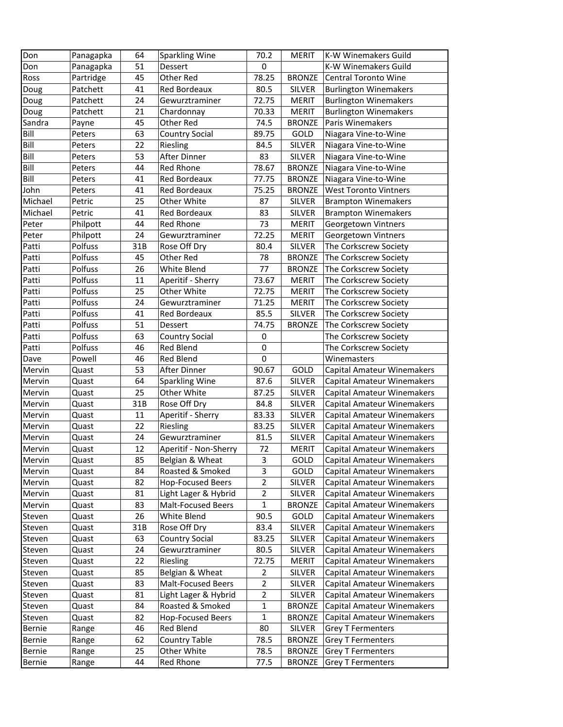| Don     | Panagapka | 64  | <b>Sparkling Wine</b>     | 70.2           | <b>MERIT</b>  | K-W Winemakers Guild              |
|---------|-----------|-----|---------------------------|----------------|---------------|-----------------------------------|
| Don     | Panagapka | 51  | Dessert                   | 0              |               | K-W Winemakers Guild              |
| Ross    | Partridge | 45  | Other Red                 | 78.25          | <b>BRONZE</b> | <b>Central Toronto Wine</b>       |
| Doug    | Patchett  | 41  | Red Bordeaux              | 80.5           | <b>SILVER</b> | <b>Burlington Winemakers</b>      |
| Doug    | Patchett  | 24  | Gewurztraminer            | 72.75          | <b>MERIT</b>  | <b>Burlington Winemakers</b>      |
| Doug    | Patchett  | 21  | Chardonnay                | 70.33          | <b>MERIT</b>  | <b>Burlington Winemakers</b>      |
| Sandra  | Payne     | 45  | Other Red                 | 74.5           | <b>BRONZE</b> | Paris Winemakers                  |
| Bill    | Peters    | 63  | <b>Country Social</b>     | 89.75          | GOLD          | Niagara Vine-to-Wine              |
| Bill    | Peters    | 22  | Riesling                  | 84.5           | <b>SILVER</b> | Niagara Vine-to-Wine              |
| Bill    | Peters    | 53  | After Dinner              | 83             | <b>SILVER</b> | Niagara Vine-to-Wine              |
| Bill    | Peters    | 44  | Red Rhone                 | 78.67          | <b>BRONZE</b> | Niagara Vine-to-Wine              |
| Bill    | Peters    | 41  | <b>Red Bordeaux</b>       | 77.75          | <b>BRONZE</b> | Niagara Vine-to-Wine              |
| John    | Peters    | 41  | Red Bordeaux              | 75.25          | <b>BRONZE</b> | <b>West Toronto Vintners</b>      |
| Michael | Petric    | 25  | Other White               | 87             | <b>SILVER</b> | <b>Brampton Winemakers</b>        |
| Michael | Petric    | 41  | Red Bordeaux              | 83             | <b>SILVER</b> | <b>Brampton Winemakers</b>        |
| Peter   | Philpott  | 44  | <b>Red Rhone</b>          | 73             | <b>MERIT</b>  | Georgetown Vintners               |
| Peter   | Philpott  | 24  | Gewurztraminer            | 72.25          | <b>MERIT</b>  | Georgetown Vintners               |
| Patti   | Polfuss   | 31B | Rose Off Dry              | 80.4           | <b>SILVER</b> | The Corkscrew Society             |
| Patti   | Polfuss   | 45  | Other Red                 | 78             | <b>BRONZE</b> | The Corkscrew Society             |
| Patti   | Polfuss   | 26  | White Blend               | 77             | <b>BRONZE</b> | The Corkscrew Society             |
| Patti   | Polfuss   | 11  | Aperitif - Sherry         | 73.67          | <b>MERIT</b>  | The Corkscrew Society             |
| Patti   | Polfuss   | 25  | Other White               | 72.75          | <b>MERIT</b>  | The Corkscrew Society             |
| Patti   | Polfuss   | 24  | Gewurztraminer            | 71.25          | <b>MERIT</b>  |                                   |
|         |           |     |                           |                |               | The Corkscrew Society             |
| Patti   | Polfuss   | 41  | <b>Red Bordeaux</b>       | 85.5           | <b>SILVER</b> | The Corkscrew Society             |
| Patti   | Polfuss   | 51  | Dessert                   | 74.75          | <b>BRONZE</b> | The Corkscrew Society             |
| Patti   | Polfuss   | 63  | <b>Country Social</b>     | 0              |               | The Corkscrew Society             |
| Patti   | Polfuss   | 46  | Red Blend                 | 0              |               | The Corkscrew Society             |
| Dave    | Powell    | 46  | Red Blend                 | $\mathbf 0$    |               | Winemasters                       |
| Mervin  | Quast     | 53  | After Dinner              | 90.67          | GOLD          | Capital Amateur Winemakers        |
| Mervin  | Quast     | 64  | <b>Sparkling Wine</b>     | 87.6           | <b>SILVER</b> | Capital Amateur Winemakers        |
| Mervin  | Quast     | 25  | Other White               | 87.25          | <b>SILVER</b> | Capital Amateur Winemakers        |
| Mervin  | Quast     | 31B | Rose Off Dry              | 84.8           | <b>SILVER</b> | Capital Amateur Winemakers        |
| Mervin  | Quast     | 11  | Aperitif - Sherry         | 83.33          | <b>SILVER</b> | <b>Capital Amateur Winemakers</b> |
| Mervin  | Quast     | 22  | Riesling                  | 83.25          | <b>SILVER</b> | Capital Amateur Winemakers        |
| Mervin  | Quast     | 24  | Gewurztraminer            | 81.5           | <b>SILVER</b> | <b>Capital Amateur Winemakers</b> |
| Mervin  | Quast     | 12  | Aperitif - Non-Sherry     | 72             | <b>MERIT</b>  | <b>Capital Amateur Winemakers</b> |
| Mervin  | Quast     | 85  | Belgian & Wheat           | $\mathsf 3$    | GOLD          | <b>Capital Amateur Winemakers</b> |
| Mervin  | Quast     | 84  | Roasted & Smoked          | 3              | GOLD          | Capital Amateur Winemakers        |
| Mervin  | Quast     | 82  | Hop-Focused Beers         | $\overline{2}$ | <b>SILVER</b> | Capital Amateur Winemakers        |
| Mervin  | Quast     | 81  | Light Lager & Hybrid      | 2              | <b>SILVER</b> | Capital Amateur Winemakers        |
| Mervin  | Quast     | 83  | <b>Malt-Focused Beers</b> | $\mathbf{1}$   | <b>BRONZE</b> | <b>Capital Amateur Winemakers</b> |
| Steven  | Quast     | 26  | White Blend               | 90.5           | GOLD          | Capital Amateur Winemakers        |
| Steven  | Quast     | 31B | Rose Off Dry              | 83.4           | SILVER        | Capital Amateur Winemakers        |
| Steven  | Quast     | 63  | <b>Country Social</b>     | 83.25          | <b>SILVER</b> | Capital Amateur Winemakers        |
| Steven  | Quast     | 24  | Gewurztraminer            | 80.5           | <b>SILVER</b> | Capital Amateur Winemakers        |
| Steven  | Quast     | 22  | Riesling                  | 72.75          | <b>MERIT</b>  | Capital Amateur Winemakers        |
| Steven  | Quast     | 85  | Belgian & Wheat           | $\overline{2}$ | <b>SILVER</b> | Capital Amateur Winemakers        |
| Steven  | Quast     | 83  | Malt-Focused Beers        | $\overline{2}$ | <b>SILVER</b> | Capital Amateur Winemakers        |
| Steven  | Quast     | 81  | Light Lager & Hybrid      | $\overline{2}$ | <b>SILVER</b> | Capital Amateur Winemakers        |
| Steven  | Quast     | 84  | Roasted & Smoked          | 1              | <b>BRONZE</b> | Capital Amateur Winemakers        |
| Steven  | Quast     | 82  | <b>Hop-Focused Beers</b>  | $\mathbf{1}$   | <b>BRONZE</b> | Capital Amateur Winemakers        |
| Bernie  | Range     | 46  | Red Blend                 | 80             | SILVER        | <b>Grey T Fermenters</b>          |
| Bernie  | Range     | 62  | <b>Country Table</b>      | 78.5           | <b>BRONZE</b> | <b>Grey T Fermenters</b>          |
| Bernie  | Range     | 25  | Other White               | 78.5           | <b>BRONZE</b> | <b>Grey T Fermenters</b>          |
| Bernie  | Range     | 44  | Red Rhone                 | 77.5           | <b>BRONZE</b> | <b>Grey T Fermenters</b>          |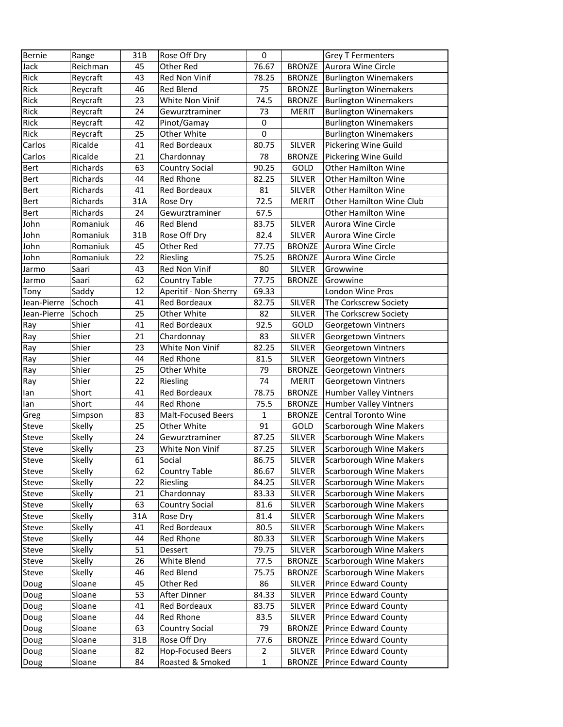| Bernie      | Range    | 31B | Rose Off Dry              | $\mathbf 0$    |               | <b>Grey T Fermenters</b>       |
|-------------|----------|-----|---------------------------|----------------|---------------|--------------------------------|
| Jack        | Reichman | 45  | Other Red                 | 76.67          | <b>BRONZE</b> | Aurora Wine Circle             |
| Rick        | Reycraft | 43  | Red Non Vinif             | 78.25          | BRONZE        | <b>Burlington Winemakers</b>   |
| Rick        | Reycraft | 46  | Red Blend                 | 75             | <b>BRONZE</b> | <b>Burlington Winemakers</b>   |
| Rick        | Reycraft | 23  | White Non Vinif           | 74.5           | <b>BRONZE</b> | <b>Burlington Winemakers</b>   |
| Rick        | Reycraft | 24  | Gewurztraminer            | 73             | <b>MERIT</b>  | <b>Burlington Winemakers</b>   |
| Rick        | Reycraft | 42  | Pinot/Gamay               | 0              |               | <b>Burlington Winemakers</b>   |
| Rick        | Reycraft | 25  | Other White               | $\mathbf 0$    |               | <b>Burlington Winemakers</b>   |
| Carlos      | Ricalde  | 41  | Red Bordeaux              | 80.75          | <b>SILVER</b> | Pickering Wine Guild           |
| Carlos      | Ricalde  | 21  | Chardonnay                | 78             | <b>BRONZE</b> | Pickering Wine Guild           |
| Bert        | Richards | 63  | <b>Country Social</b>     | 90.25          | GOLD          | <b>Other Hamilton Wine</b>     |
| Bert        | Richards | 44  | Red Rhone                 | 82.25          | <b>SILVER</b> | <b>Other Hamilton Wine</b>     |
| Bert        | Richards | 41  | Red Bordeaux              | 81             | SILVER        | <b>Other Hamilton Wine</b>     |
| Bert        | Richards | 31A | Rose Dry                  | 72.5           | <b>MERIT</b>  | Other Hamilton Wine Club       |
| Bert        | Richards | 24  | Gewurztraminer            | 67.5           |               | <b>Other Hamilton Wine</b>     |
| John        | Romaniuk | 46  | Red Blend                 | 83.75          | <b>SILVER</b> | Aurora Wine Circle             |
| John        | Romaniuk | 31B | Rose Off Dry              | 82.4           | <b>SILVER</b> | Aurora Wine Circle             |
| John        | Romaniuk | 45  | Other Red                 | 77.75          | <b>BRONZE</b> | Aurora Wine Circle             |
| John        | Romaniuk | 22  | Riesling                  | 75.25          | <b>BRONZE</b> | Aurora Wine Circle             |
| Jarmo       | Saari    | 43  | Red Non Vinif             | 80             | <b>SILVER</b> | Growwine                       |
|             |          | 62  |                           |                |               | Growwine                       |
| Jarmo       | Saari    |     | <b>Country Table</b>      | 77.75          | <b>BRONZE</b> | London Wine Pros               |
| Tony        | Saddy    | 12  | Aperitif - Non-Sherry     | 69.33          |               |                                |
| Jean-Pierre | Schoch   | 41  | <b>Red Bordeaux</b>       | 82.75          | <b>SILVER</b> | The Corkscrew Society          |
| Jean-Pierre | Schoch   | 25  | Other White               | 82             | <b>SILVER</b> | The Corkscrew Society          |
| Ray         | Shier    | 41  | Red Bordeaux              | 92.5           | GOLD          | Georgetown Vintners            |
| Ray         | Shier    | 21  | Chardonnay                | 83             | <b>SILVER</b> | Georgetown Vintners            |
| Ray         | Shier    | 23  | White Non Vinif           | 82.25          | <b>SILVER</b> | Georgetown Vintners            |
| Ray         | Shier    | 44  | <b>Red Rhone</b>          | 81.5           | <b>SILVER</b> | Georgetown Vintners            |
| Ray         | Shier    | 25  | Other White               | 79             | <b>BRONZE</b> | Georgetown Vintners            |
| Ray         | Shier    | 22  | Riesling                  | 74             | <b>MERIT</b>  | Georgetown Vintners            |
| lan         | Short    | 41  | Red Bordeaux              | 78.75          | <b>BRONZE</b> | <b>Humber Valley Vintners</b>  |
| lan         | Short    | 44  | <b>Red Rhone</b>          | 75.5           | <b>BRONZE</b> | <b>Humber Valley Vintners</b>  |
| Greg        | Simpson  | 83  | <b>Malt-Focused Beers</b> | $\mathbf{1}$   | <b>BRONZE</b> | <b>Central Toronto Wine</b>    |
| Steve       | Skelly   | 25  | Other White               | 91             | GOLD          | <b>Scarborough Wine Makers</b> |
| Steve       | Skelly   | 24  | Gewurztraminer            | 87.25          | <b>SILVER</b> | <b>Scarborough Wine Makers</b> |
| Steve       | Skelly   | 23  | White Non Vinif           | 87.25          | <b>SILVER</b> | <b>Scarborough Wine Makers</b> |
| Steve       | Skelly   | 61  | Social                    | 86.75          | SILVER        | Scarborough Wine Makers        |
| Steve       | Skelly   | 62  | <b>Country Table</b>      | 86.67          | <b>SILVER</b> | <b>Scarborough Wine Makers</b> |
| Steve       | Skelly   | 22  | Riesling                  | 84.25          | <b>SILVER</b> | <b>Scarborough Wine Makers</b> |
| Steve       | Skelly   | 21  | Chardonnay                | 83.33          | <b>SILVER</b> | <b>Scarborough Wine Makers</b> |
| Steve       | Skelly   | 63  | <b>Country Social</b>     | 81.6           | SILVER        | <b>Scarborough Wine Makers</b> |
| Steve       | Skelly   | 31A | Rose Dry                  | 81.4           | SILVER        | <b>Scarborough Wine Makers</b> |
| Steve       | Skelly   | 41  | Red Bordeaux              | 80.5           | <b>SILVER</b> | <b>Scarborough Wine Makers</b> |
| Steve       | Skelly   | 44  | Red Rhone                 | 80.33          | SILVER        | <b>Scarborough Wine Makers</b> |
| Steve       | Skelly   | 51  | Dessert                   | 79.75          | SILVER        | <b>Scarborough Wine Makers</b> |
| Steve       | Skelly   | 26  | White Blend               | 77.5           | <b>BRONZE</b> | <b>Scarborough Wine Makers</b> |
| Steve       | Skelly   | 46  | Red Blend                 | 75.75          | <b>BRONZE</b> | <b>Scarborough Wine Makers</b> |
| Doug        | Sloane   | 45  | Other Red                 | 86             | <b>SILVER</b> | Prince Edward County           |
| Doug        | Sloane   | 53  | After Dinner              | 84.33          | <b>SILVER</b> | <b>Prince Edward County</b>    |
| Doug        | Sloane   | 41  | Red Bordeaux              | 83.75          | SILVER        | Prince Edward County           |
| Doug        | Sloane   | 44  | Red Rhone                 | 83.5           | SILVER        | Prince Edward County           |
| Doug        | Sloane   | 63  | <b>Country Social</b>     | 79             | <b>BRONZE</b> | <b>Prince Edward County</b>    |
| Doug        | Sloane   | 31B | Rose Off Dry              | 77.6           | <b>BRONZE</b> | Prince Edward County           |
| Doug        | Sloane   | 82  | <b>Hop-Focused Beers</b>  | $\overline{2}$ | SILVER        | Prince Edward County           |
| Doug        | Sloane   | 84  | Roasted & Smoked          | $\mathbf{1}$   | <b>BRONZE</b> | <b>Prince Edward County</b>    |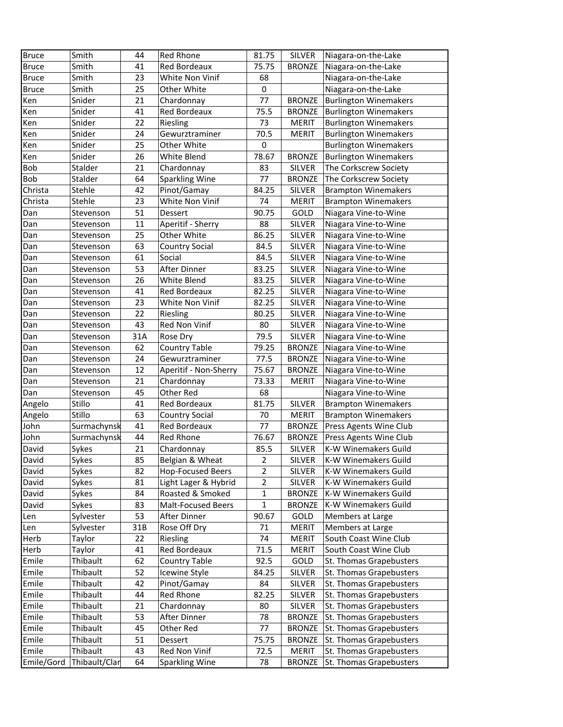| <b>Bruce</b> | Smith         | 44  | Red Rhone                 | 81.75          | SILVER        | Niagara-on-the-Lake          |
|--------------|---------------|-----|---------------------------|----------------|---------------|------------------------------|
| <b>Bruce</b> | Smith         | 41  | Red Bordeaux              | 75.75          | <b>BRONZE</b> | Niagara-on-the-Lake          |
| <b>Bruce</b> | Smith         | 23  | White Non Vinif           | 68             |               | Niagara-on-the-Lake          |
| <b>Bruce</b> | Smith         | 25  | Other White               | $\pmb{0}$      |               | Niagara-on-the-Lake          |
| Ken          | Snider        | 21  | Chardonnay                | 77             | <b>BRONZE</b> | <b>Burlington Winemakers</b> |
| Ken          | Snider        | 41  | <b>Red Bordeaux</b>       | 75.5           | <b>BRONZE</b> | <b>Burlington Winemakers</b> |
| Ken          | Snider        | 22  | Riesling                  | 73             | <b>MERIT</b>  | <b>Burlington Winemakers</b> |
| Ken          | Snider        | 24  | Gewurztraminer            | 70.5           | <b>MERIT</b>  | <b>Burlington Winemakers</b> |
| Ken          | Snider        | 25  | Other White               | $\pmb{0}$      |               | <b>Burlington Winemakers</b> |
| Ken          | Snider        | 26  | White Blend               | 78.67          | <b>BRONZE</b> | <b>Burlington Winemakers</b> |
| Bob          | Stalder       | 21  | Chardonnay                | 83             | <b>SILVER</b> | The Corkscrew Society        |
| Bob          | Stalder       | 64  | <b>Sparkling Wine</b>     | 77             | <b>BRONZE</b> | The Corkscrew Society        |
| Christa      | Stehle        | 42  | Pinot/Gamay               | 84.25          | <b>SILVER</b> | <b>Brampton Winemakers</b>   |
| Christa      | Stehle        | 23  | White Non Vinif           | 74             | <b>MERIT</b>  | <b>Brampton Winemakers</b>   |
| Dan          | Stevenson     | 51  | Dessert                   | 90.75          | GOLD          | Niagara Vine-to-Wine         |
| Dan          | Stevenson     | 11  | Aperitif - Sherry         | 88             | <b>SILVER</b> | Niagara Vine-to-Wine         |
| Dan          | Stevenson     | 25  | Other White               | 86.25          | SILVER        | Niagara Vine-to-Wine         |
| Dan          | Stevenson     | 63  | <b>Country Social</b>     | 84.5           | <b>SILVER</b> | Niagara Vine-to-Wine         |
| Dan          | Stevenson     | 61  | Social                    | 84.5           | <b>SILVER</b> | Niagara Vine-to-Wine         |
| Dan          | Stevenson     | 53  | After Dinner              | 83.25          | <b>SILVER</b> | Niagara Vine-to-Wine         |
| Dan          | Stevenson     | 26  | White Blend               | 83.25          | <b>SILVER</b> | Niagara Vine-to-Wine         |
| Dan          | Stevenson     | 41  | Red Bordeaux              | 82.25          | <b>SILVER</b> | Niagara Vine-to-Wine         |
| Dan          | Stevenson     | 23  | White Non Vinif           | 82.25          | <b>SILVER</b> | Niagara Vine-to-Wine         |
| Dan          | Stevenson     | 22  | Riesling                  | 80.25          | <b>SILVER</b> | Niagara Vine-to-Wine         |
| Dan          | Stevenson     | 43  | Red Non Vinif             | 80             | <b>SILVER</b> | Niagara Vine-to-Wine         |
| Dan          | Stevenson     | 31A | Rose Dry                  | 79.5           | <b>SILVER</b> | Niagara Vine-to-Wine         |
| Dan          | Stevenson     | 62  | <b>Country Table</b>      | 79.25          | <b>BRONZE</b> | Niagara Vine-to-Wine         |
| Dan          | Stevenson     | 24  | Gewurztraminer            | 77.5           | <b>BRONZE</b> | Niagara Vine-to-Wine         |
| Dan          | Stevenson     | 12  | Aperitif - Non-Sherry     | 75.67          | <b>BRONZE</b> | Niagara Vine-to-Wine         |
| Dan          | Stevenson     | 21  | Chardonnay                | 73.33          | <b>MERIT</b>  | Niagara Vine-to-Wine         |
| Dan          | Stevenson     | 45  | Other Red                 | 68             |               | Niagara Vine-to-Wine         |
| Angelo       | Stillo        | 41  | Red Bordeaux              | 81.75          | <b>SILVER</b> | <b>Brampton Winemakers</b>   |
| Angelo       | Stillo        | 63  | <b>Country Social</b>     | 70             | <b>MERIT</b>  | <b>Brampton Winemakers</b>   |
| John         | Surmachynsk   | 41  | Red Bordeaux              | 77             | <b>BRONZE</b> | Press Agents Wine Club       |
| John         | Surmachynsk   | 44  | <b>Red Rhone</b>          | 76.67          | <b>BRONZE</b> | Press Agents Wine Club       |
| David        | Sykes         | 21  | Chardonnay                | 85.5           | <b>SILVER</b> | K-W Winemakers Guild         |
| David        | Sykes         | 85  | Belgian & Wheat           | $\overline{2}$ | SILVER        | K-W Winemakers Guild         |
| David        | Sykes         | 82  | <b>Hop-Focused Beers</b>  | $\overline{2}$ | <b>SILVER</b> | K-W Winemakers Guild         |
| David        | Sykes         | 81  | Light Lager & Hybrid      | $\overline{2}$ | <b>SILVER</b> | K-W Winemakers Guild         |
| David        | Sykes         | 84  | Roasted & Smoked          | $\mathbf{1}$   | <b>BRONZE</b> | K-W Winemakers Guild         |
| David        | Sykes         | 83  | <b>Malt-Focused Beers</b> | $\mathbf{1}$   | <b>BRONZE</b> | K-W Winemakers Guild         |
| Len          | Sylvester     | 53  | After Dinner              | 90.67          | GOLD          | Members at Large             |
| Len          | Sylvester     | 31B | Rose Off Dry              | 71             | <b>MERIT</b>  | Members at Large             |
| Herb         | Taylor        | 22  | Riesling                  | 74             | <b>MERIT</b>  | South Coast Wine Club        |
| Herb         | Taylor        | 41  | Red Bordeaux              | 71.5           | <b>MERIT</b>  | South Coast Wine Club        |
| Emile        | Thibault      | 62  | <b>Country Table</b>      | 92.5           | GOLD          | St. Thomas Grapebusters      |
| Emile        | Thibault      | 52  | Icewine Style             | 84.25          | <b>SILVER</b> | St. Thomas Grapebusters      |
| Emile        | Thibault      | 42  | Pinot/Gamay               | 84             | <b>SILVER</b> | St. Thomas Grapebusters      |
| Emile        | Thibault      | 44  | Red Rhone                 | 82.25          | <b>SILVER</b> | St. Thomas Grapebusters      |
| Emile        | Thibault      | 21  | Chardonnay                | 80             | SILVER        | St. Thomas Grapebusters      |
| Emile        | Thibault      | 53  | After Dinner              | 78             | <b>BRONZE</b> | St. Thomas Grapebusters      |
| Emile        | Thibault      | 45  | Other Red                 | 77             | <b>BRONZE</b> | St. Thomas Grapebusters      |
| Emile        | Thibault      | 51  | Dessert                   | 75.75          | <b>BRONZE</b> | St. Thomas Grapebusters      |
| Emile        | Thibault      | 43  | Red Non Vinif             | 72.5           | <b>MERIT</b>  | St. Thomas Grapebusters      |
| Emile/Gord   | Thibault/Clar | 64  | <b>Sparkling Wine</b>     | 78             | <b>BRONZE</b> | St. Thomas Grapebusters      |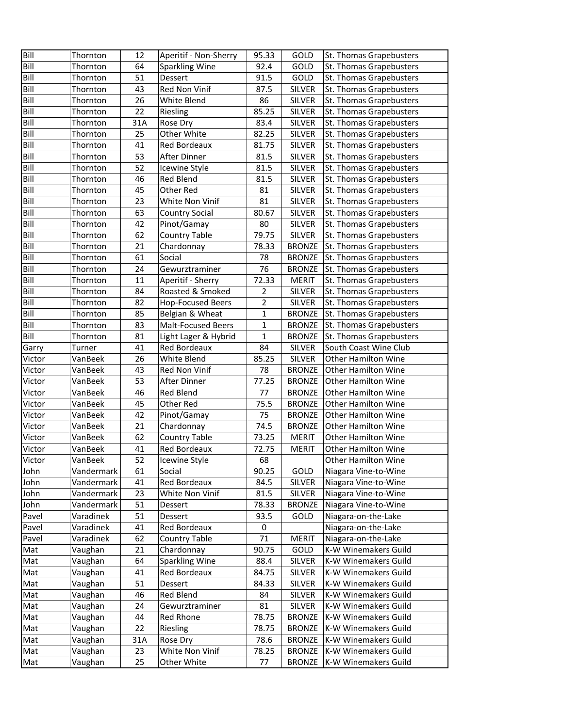| Bill   | Thornton   | 12  | Aperitif - Non-Sherry    | 95.33          | GOLD          | St. Thomas Grapebusters    |
|--------|------------|-----|--------------------------|----------------|---------------|----------------------------|
| Bill   | Thornton   | 64  | <b>Sparkling Wine</b>    | 92.4           | GOLD          | St. Thomas Grapebusters    |
| Bill   | Thornton   | 51  | <b>Dessert</b>           | 91.5           | GOLD          | St. Thomas Grapebusters    |
| Bill   | Thornton   | 43  | Red Non Vinif            | 87.5           | <b>SILVER</b> | St. Thomas Grapebusters    |
| Bill   | Thornton   | 26  | White Blend              | 86             | <b>SILVER</b> | St. Thomas Grapebusters    |
| Bill   | Thornton   | 22  | Riesling                 | 85.25          | <b>SILVER</b> | St. Thomas Grapebusters    |
| Bill   | Thornton   | 31A | Rose Dry                 | 83.4           | <b>SILVER</b> | St. Thomas Grapebusters    |
| Bill   | Thornton   | 25  | Other White              | 82.25          | <b>SILVER</b> | St. Thomas Grapebusters    |
| Bill   | Thornton   | 41  | Red Bordeaux             | 81.75          | <b>SILVER</b> | St. Thomas Grapebusters    |
| Bill   | Thornton   | 53  | After Dinner             | 81.5           | <b>SILVER</b> | St. Thomas Grapebusters    |
| Bill   | Thornton   | 52  | Icewine Style            | 81.5           | <b>SILVER</b> | St. Thomas Grapebusters    |
| Bill   | Thornton   | 46  | Red Blend                | 81.5           | <b>SILVER</b> | St. Thomas Grapebusters    |
| Bill   | Thornton   | 45  | Other Red                | 81             | <b>SILVER</b> | St. Thomas Grapebusters    |
| Bill   | Thornton   | 23  | White Non Vinif          | 81             | <b>SILVER</b> | St. Thomas Grapebusters    |
| Bill   | Thornton   | 63  | <b>Country Social</b>    | 80.67          | <b>SILVER</b> | St. Thomas Grapebusters    |
| Bill   | Thornton   | 42  | Pinot/Gamay              | 80             | <b>SILVER</b> | St. Thomas Grapebusters    |
| Bill   | Thornton   | 62  | <b>Country Table</b>     | 79.75          | <b>SILVER</b> | St. Thomas Grapebusters    |
| Bill   | Thornton   | 21  | Chardonnay               | 78.33          | <b>BRONZE</b> | St. Thomas Grapebusters    |
| Bill   | Thornton   | 61  | Social                   | 78             | <b>BRONZE</b> | St. Thomas Grapebusters    |
| Bill   | Thornton   | 24  | Gewurztraminer           | 76             | <b>BRONZE</b> | St. Thomas Grapebusters    |
| Bill   | Thornton   | 11  | Aperitif - Sherry        | 72.33          | <b>MERIT</b>  | St. Thomas Grapebusters    |
| Bill   | Thornton   | 84  | Roasted & Smoked         | 2              | <b>SILVER</b> | St. Thomas Grapebusters    |
| Bill   | Thornton   | 82  | <b>Hop-Focused Beers</b> | $\overline{2}$ | <b>SILVER</b> | St. Thomas Grapebusters    |
| Bill   | Thornton   | 85  | Belgian & Wheat          | 1              | <b>BRONZE</b> | St. Thomas Grapebusters    |
| Bill   | Thornton   | 83  | Malt-Focused Beers       | $\mathbf 1$    | <b>BRONZE</b> | St. Thomas Grapebusters    |
| Bill   | Thornton   | 81  | Light Lager & Hybrid     | $\mathbf 1$    | <b>BRONZE</b> | St. Thomas Grapebusters    |
| Garry  | Turner     | 41  | Red Bordeaux             | 84             | <b>SILVER</b> | South Coast Wine Club      |
| Victor | VanBeek    | 26  | White Blend              | 85.25          | <b>SILVER</b> | <b>Other Hamilton Wine</b> |
| Victor | VanBeek    | 43  | Red Non Vinif            | 78             | <b>BRONZE</b> | <b>Other Hamilton Wine</b> |
| Victor | VanBeek    | 53  | After Dinner             | 77.25          | <b>BRONZE</b> | Other Hamilton Wine        |
| Victor | VanBeek    | 46  | Red Blend                | 77             | <b>BRONZE</b> | <b>Other Hamilton Wine</b> |
| Victor | VanBeek    | 45  | Other Red                | 75.5           | <b>BRONZE</b> | <b>Other Hamilton Wine</b> |
| Victor | VanBeek    | 42  | Pinot/Gamay              | 75             | <b>BRONZE</b> | <b>Other Hamilton Wine</b> |
| Victor | VanBeek    | 21  | Chardonnay               | 74.5           | <b>BRONZE</b> | <b>Other Hamilton Wine</b> |
| Victor | VanBeek    | 62  | <b>Country Table</b>     | 73.25          | <b>MERIT</b>  | <b>Other Hamilton Wine</b> |
| Victor | VanBeek    | 41  | Red Bordeaux             | 72.75          | <b>MERIT</b>  | <b>Other Hamilton Wine</b> |
| Victor | VanBeek    | 52  | Icewine Style            | 68             |               | Other Hamilton Wine        |
| John   | Vandermark | 61  | Social                   | 90.25          | GOLD          | Niagara Vine-to-Wine       |
| John   | Vandermark | 41  | Red Bordeaux             | 84.5           | <b>SILVER</b> | Niagara Vine-to-Wine       |
| John   | Vandermark | 23  | White Non Vinif          | 81.5           | <b>SILVER</b> | Niagara Vine-to-Wine       |
| John   | Vandermark | 51  | Dessert                  | 78.33          | <b>BRONZE</b> | Niagara Vine-to-Wine       |
| Pavel  | Varadinek  | 51  | Dessert                  | 93.5           | GOLD          | Niagara-on-the-Lake        |
| Pavel  | Varadinek  | 41  | Red Bordeaux             | 0              |               | Niagara-on-the-Lake        |
| Pavel  | Varadinek  | 62  | <b>Country Table</b>     | 71             | <b>MERIT</b>  | Niagara-on-the-Lake        |
| Mat    | Vaughan    | 21  | Chardonnay               | 90.75          | GOLD          | K-W Winemakers Guild       |
| Mat    | Vaughan    | 64  | <b>Sparkling Wine</b>    | 88.4           | <b>SILVER</b> | K-W Winemakers Guild       |
| Mat    | Vaughan    | 41  | <b>Red Bordeaux</b>      | 84.75          | <b>SILVER</b> | K-W Winemakers Guild       |
| Mat    | Vaughan    | 51  | Dessert                  | 84.33          | <b>SILVER</b> | K-W Winemakers Guild       |
| Mat    | Vaughan    | 46  | Red Blend                | 84             | <b>SILVER</b> | K-W Winemakers Guild       |
| Mat    | Vaughan    | 24  | Gewurztraminer           | 81             | SILVER        | K-W Winemakers Guild       |
| Mat    | Vaughan    | 44  | Red Rhone                | 78.75          | <b>BRONZE</b> | K-W Winemakers Guild       |
| Mat    | Vaughan    | 22  | Riesling                 | 78.75          | <b>BRONZE</b> | K-W Winemakers Guild       |
| Mat    | Vaughan    | 31A | Rose Dry                 | 78.6           | <b>BRONZE</b> | K-W Winemakers Guild       |
| Mat    | Vaughan    | 23  | White Non Vinif          | 78.25          | <b>BRONZE</b> | K-W Winemakers Guild       |
| Mat    | Vaughan    | 25  | Other White              | 77             | <b>BRONZE</b> | K-W Winemakers Guild       |
|        |            |     |                          |                |               |                            |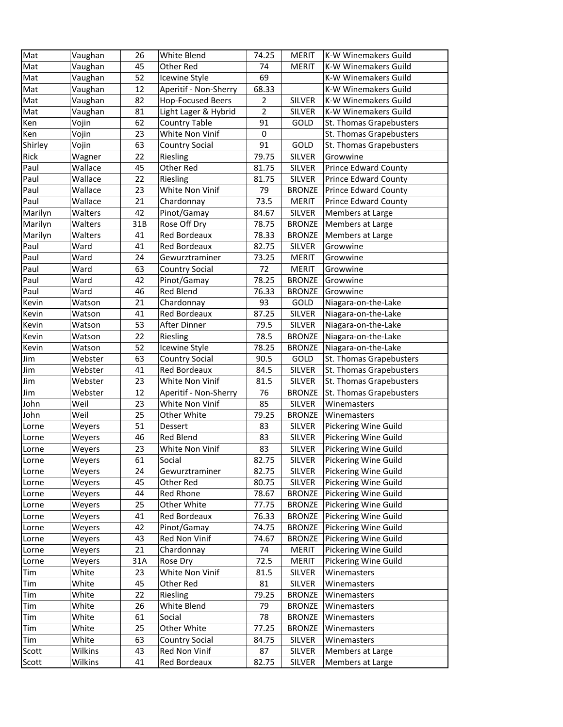| Mat     | Vaughan | 26  | White Blend              | 74.25          | <b>MERIT</b>  | K-W Winemakers Guild        |
|---------|---------|-----|--------------------------|----------------|---------------|-----------------------------|
| Mat     | Vaughan | 45  | Other Red                | 74             | <b>MERIT</b>  | K-W Winemakers Guild        |
| Mat     | Vaughan | 52  | Icewine Style            | 69             |               | K-W Winemakers Guild        |
| Mat     | Vaughan | 12  | Aperitif - Non-Sherry    | 68.33          |               | K-W Winemakers Guild        |
| Mat     | Vaughan | 82  | <b>Hop-Focused Beers</b> | 2              | <b>SILVER</b> | <b>K-W Winemakers Guild</b> |
| Mat     | Vaughan | 81  | Light Lager & Hybrid     | $\overline{2}$ | <b>SILVER</b> | <b>K-W Winemakers Guild</b> |
| Ken     | Vojin   | 62  | <b>Country Table</b>     | 91             | GOLD          | St. Thomas Grapebusters     |
| Ken     | Vojin   | 23  | White Non Vinif          | $\mathbf 0$    |               | St. Thomas Grapebusters     |
| Shirley | Vojin   | 63  | <b>Country Social</b>    | 91             | GOLD          | St. Thomas Grapebusters     |
| Rick    | Wagner  | 22  | Riesling                 | 79.75          | <b>SILVER</b> | Growwine                    |
| Paul    | Wallace | 45  | Other Red                | 81.75          | <b>SILVER</b> | <b>Prince Edward County</b> |
| Paul    | Wallace | 22  | Riesling                 | 81.75          | <b>SILVER</b> | <b>Prince Edward County</b> |
| Paul    | Wallace | 23  | White Non Vinif          | 79             | <b>BRONZE</b> | <b>Prince Edward County</b> |
| Paul    | Wallace | 21  | Chardonnay               | 73.5           | MERIT         | <b>Prince Edward County</b> |
| Marilyn | Walters | 42  | Pinot/Gamay              | 84.67          | <b>SILVER</b> | Members at Large            |
| Marilyn | Walters | 31B | Rose Off Dry             | 78.75          | <b>BRONZE</b> | Members at Large            |
| Marilyn | Walters | 41  | <b>Red Bordeaux</b>      | 78.33          | <b>BRONZE</b> | Members at Large            |
| Paul    | Ward    | 41  | Red Bordeaux             | 82.75          | SILVER        | Growwine                    |
| Paul    | Ward    | 24  | Gewurztraminer           | 73.25          | <b>MERIT</b>  | Growwine                    |
| Paul    | Ward    | 63  | <b>Country Social</b>    | 72             | <b>MERIT</b>  | Growwine                    |
| Paul    | Ward    | 42  | Pinot/Gamay              | 78.25          | <b>BRONZE</b> | Growwine                    |
| Paul    | Ward    | 46  | <b>Red Blend</b>         | 76.33          | <b>BRONZE</b> | Growwine                    |
| Kevin   | Watson  | 21  | Chardonnay               | 93             | GOLD          | Niagara-on-the-Lake         |
| Kevin   | Watson  | 41  | <b>Red Bordeaux</b>      | 87.25          | <b>SILVER</b> | Niagara-on-the-Lake         |
| Kevin   | Watson  | 53  | After Dinner             | 79.5           | <b>SILVER</b> | Niagara-on-the-Lake         |
| Kevin   | Watson  | 22  | Riesling                 | 78.5           | <b>BRONZE</b> | Niagara-on-the-Lake         |
| Kevin   | Watson  | 52  | Icewine Style            | 78.25          | <b>BRONZE</b> | Niagara-on-the-Lake         |
| Jim     | Webster | 63  | <b>Country Social</b>    | 90.5           | GOLD          | St. Thomas Grapebusters     |
| Jim     | Webster | 41  | Red Bordeaux             | 84.5           | <b>SILVER</b> | St. Thomas Grapebusters     |
| Jim     | Webster | 23  | White Non Vinif          | 81.5           | <b>SILVER</b> | St. Thomas Grapebusters     |
| Jim     | Webster | 12  | Aperitif - Non-Sherry    | 76             | <b>BRONZE</b> | St. Thomas Grapebusters     |
| John    | Weil    | 23  | White Non Vinif          | 85             | <b>SILVER</b> | Winemasters                 |
| John    | Weil    | 25  | Other White              | 79.25          | <b>BRONZE</b> | Winemasters                 |
| Lorne   | Weyers  | 51  | Dessert                  | 83             | <b>SILVER</b> | Pickering Wine Guild        |
| Lorne   | Weyers  | 46  | <b>Red Blend</b>         | 83             | <b>SILVER</b> | Pickering Wine Guild        |
| Lorne   | Weyers  | 23  | White Non Vinif          | 83             | <b>SILVER</b> | Pickering Wine Guild        |
| Lorne   | Weyers  | 61  | Social                   | 82.75          | SILVER        | Pickering Wine Guild        |
| Lorne   | Weyers  | 24  | Gewurztraminer           | 82.75          | SILVER        | Pickering Wine Guild        |
| Lorne   | Weyers  | 45  | Other Red                | 80.75          | <b>SILVER</b> | Pickering Wine Guild        |
| Lorne   | Weyers  | 44  | Red Rhone                | 78.67          | <b>BRONZE</b> | Pickering Wine Guild        |
| Lorne   | Weyers  | 25  | Other White              | 77.75          | <b>BRONZE</b> | Pickering Wine Guild        |
| Lorne   | Weyers  | 41  | Red Bordeaux             | 76.33          | <b>BRONZE</b> | Pickering Wine Guild        |
| Lorne   | Weyers  | 42  | Pinot/Gamay              | 74.75          | <b>BRONZE</b> | Pickering Wine Guild        |
| Lorne   | Weyers  | 43  | Red Non Vinif            | 74.67          | <b>BRONZE</b> | Pickering Wine Guild        |
| Lorne   | Weyers  | 21  | Chardonnay               | 74             | <b>MERIT</b>  | Pickering Wine Guild        |
| Lorne   | Weyers  | 31A | Rose Dry                 | 72.5           | <b>MERIT</b>  | Pickering Wine Guild        |
| Tim     | White   | 23  | White Non Vinif          | 81.5           | <b>SILVER</b> | Winemasters                 |
| Tim     | White   | 45  | Other Red                | 81             | SILVER        | Winemasters                 |
| Tim     | White   | 22  | Riesling                 | 79.25          | <b>BRONZE</b> | Winemasters                 |
| Tim     | White   | 26  | White Blend              | 79             | <b>BRONZE</b> | Winemasters                 |
| Tim     | White   | 61  | Social                   | 78             | <b>BRONZE</b> | Winemasters                 |
| Tim     | White   | 25  | Other White              | 77.25          | <b>BRONZE</b> | Winemasters                 |
| Tim     | White   | 63  | <b>Country Social</b>    | 84.75          | SILVER        | Winemasters                 |
| Scott   | Wilkins | 43  | Red Non Vinif            | 87             | SILVER        | Members at Large            |
| Scott   | Wilkins | 41  | Red Bordeaux             | 82.75          | SILVER        | Members at Large            |
|         |         |     |                          |                |               |                             |